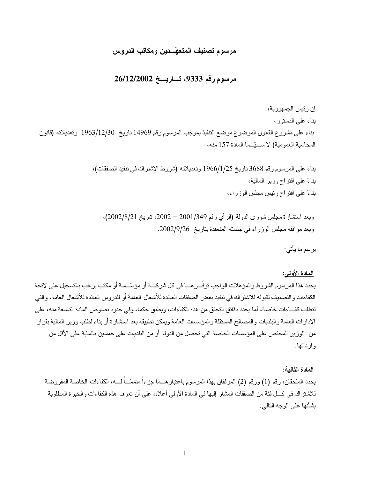### مرسوم تصنيف المتعهّــدين ومكاتب الدروس

### مرسوم رقم 9333، تساريسخ 26/12/2002

إن رئيس الجمهورية، بناء على الدستور، بناء على مشروع القانون الموضوع موضع النتفيذ بموجب المرسوم رقم 14969 ناريخ 1963/12/30 وتعديلاته (قانون المحاسبة العمومية) لاستيّدا المادة 157 منه،

> بناء على المرسوم رقم 3688 ناريخ 1966/1/25 وتعديلاته (شروط الاشتراك في تتفيذ الصفقات)، بناءً على افتراح وزير المالية، بناءً على اقتراح رئيس مجلس الوزراء،

وبعد استشارة مجلس شوري الدولة (الرأي رقم 2001/349 – 2002، تاريخ 2002/8/21)، وبعد موافقة مجلس الوزراء في جلسته المنعقدة بتاريخ 2002/9/26.

يرسم ما يأتي:

#### المادة الأولم:

يحدد هذا المرسوم الشروط والمؤهلات الواجب توفّــر هـــا في كل شركـــة أو مؤسّــسة أو مكتب برغب بالتسجيل على لائحة الكفاءات و التصنيف لقبوله للاشتر اك في نتفيذ بعض الصفقات العائدة للأشغال العامة أو للدروس العائدة للأشغال العامة، و التي تتطلب كفــاءات خاصـة، آما يحدد دقائق التحقق من هذه الكفاءات، ويطبق حكما، و في حدود نصوص المادة التاسعة منه، علي الادارات العامة والبلديات والمصالح المستقلة والمؤسسات العامة ويمكن نطبيقه بعد استشارة أو بناء لطلب وزير المالية بقرار من الوزير المختص على المؤسسات الخاصة التي تحصل من الدولة أو من البلديات على خمسين بالماية على الأقل من وإرداتها.

#### المادة الثانية:

يحدد الملحقان، رقم (1) ورقم (2) المرفقان بهذا المرسوم باعتبار هــما جزءاً متممّــاً لـــه، الكفاءات الخاصة المفروضة للاشتر اك في كـــل فئة من الصفقات المشار إليها في المادة الأولى أعلاه، على أن تعرف هذه الكفاءات والخبر ة المطلوبة بشأنها على الوجه النالي: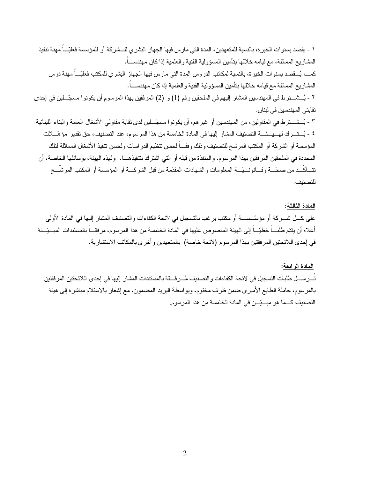١ - بقصد بسنوات الخبر ة، بالنسبة للمتعهدين، المدة التي مارس فيها الجهاز البشري للـــشركة أو للمؤسسة فعليّـــاً مهنة تتفيذ المشار يع المماثلة، مع قيامه خلالها بتأمين المسؤولية الفنية و العلمية إذا كان مهندســاً. كمــــا يُـــقصد بسنو ات الخبر ة، بالنسبة لمكاتب الدروس المدة التي مارس فيها الجهاز البشرى للمكتب فعليّـــاً مهنة درس المشاريع المماثلة مع قيامه خلالها بتأمين المسؤولية الفنية و العلمية إذا كان مهندســـاً. ٢ - يُسشـــترط في المهندسين المشار إليهم في الملحقين رقم (1) و (2) المرفقين بهذا المرسوم أن يكونوا مسجّـــلين في إحدى نقابتي المهندسين في لبنان. ٣ - يُـــشـــترط في المقاولين، من المهندسين أو غير هم، أن يكونو ا مسجّــلين لدى نقابة مقاولي الأشغال العامة و البناء اللبنانية.

٤ - يُستسر ك لهـ يسسِّسة التصنيف المشار اليها في المادة الخامسة من هذا المرسوم، عند التصنيف، حق تقدير مؤ هّـــلات المؤسسة أو الشركة أو المكتب المرشح للتصنيف وذلك وفقـــاً لحسن نتظيم الدر اسات ولحسن نتفيذ الأشغال المماثلة لتلك المحددة في الملحقين المر فقين بهذا المر سوء، و المنفذة من قبله أو التي اشترك بتتفيذهـــا. و لهذه الهيئة، بو سائلها الخاصـة، أن تتــأكّــد من صـحّـــة وقـــانونـــيّـــة المعلومات والشهادات المقدّمة من قبل الشركـــة أو المؤسسة أو المكتب المرشّــح للتصنيف.

#### المادة الثالثة:

على كـــل شـــركة أو مؤسّــســــة أو مكتب يرغب بالتسجيل في لائحة الكفاءات والتصنيف المشار إليها في المادة الأولى أعلاه أن يقدّم طلبـــاً خطيّـــاً إلى الهيئة المنصوص عليها في المادة الخامسة من هذا المرسوم، مرفقـــاً بالمستدات المبـــيّــنة في إحدى اللائحتين المرفقتين بهذا المرسوم (لائحة خاصة) بالمتعهدين وأخرى بالمكاتب الاستشارية.

#### المادة الرابعة:

تُسرسَس طلبات التسجيل في لائحة الكفاءات و التصنيف مُسر فقة بالمستندات المشار إليها في إحدى اللائحتين المرفقتين بالمرسوم، حاملة الطابع الأميري ضمن ظرف مختوم، وبواسطة البريد المضمون، مع إشعار بالاستلام مباشرة إلى هيئة التصنيف كــما هو مبــيّــن في المادة الخامسة من هذا المرسوم.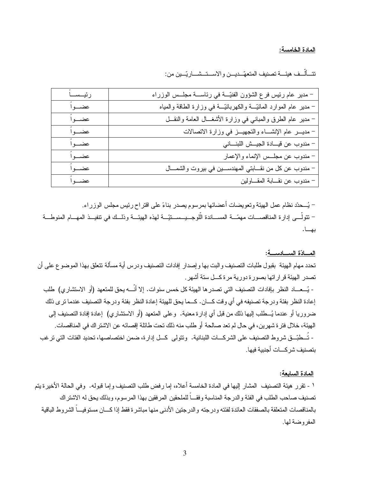#### المادة الخامسة:

|  |  |  |  | تتَّـأَلْــف هيئـــة تصنيف المتعهّــديـــن والاســـتــشـــاريّـــين من: |  |  |
|--|--|--|--|-------------------------------------------------------------------------|--|--|
|  |  |  |  |                                                                         |  |  |

| رئيساً | - مدير عام رئيس فرع الشؤون الفنيّة في رئاسة مجلّس الوزراء                |
|--------|--------------------------------------------------------------------------|
| عضب أ  | – مدير عام الموارد المائيّــــة والكهربائيّــــة في وزارة الطاقة والمياه |
| عضب أ  | – مدير عام الطرق والمباني في وزارة الأشغـــال العامة والنقـــل           |
| عضب أ  | - مديــــــر عام الإنشـــــاء والنجهيـــــــــز فــي وزارة الانصــالات   |
| عضب أ  | – مندوب عن فيهادة الجيسش اللبناني                                        |
| عضب اً | – مندوب عن مجلّس الإنماء والإعمار                                        |
| عضب أ  | – مندوب عن كل من نقـــابتي المهندســـين في بيروت والشمـــال              |
| عضب اً | - مندوب عن نقــابة المقــاولين                                           |

– يُسحدّد نظام عمل الهيئة وتعويضات أعضائها بمر سوم يصدر بناءً على اقتراح رئيس مجلس الوزراء. – تتولّـــى إدار ة المناقصــــات مهمّــــة المســــاندة الّلوجـــيــــســــتيّـــة لهذه الـهيئـــة وذلـــك في نتفيـــذ المهــــام المنوطـــة بها.

#### المسادّة السسادسسة:

تحدد مهام الهيئة بقبول طلبات التصنيف والبت بها وإصدار إفادات التصنيف ودرس أية مسألة تتعلق بهذا الموضوع على أن تصدر الهيئة قراراتها بصورة دورية مرة كـــل ستة أشهر .

- يُسعساد النظر بإفادات التصنيف التي تصدر ها الهيئة كل خمس سنوات. إلا أنَّسه بحق للمتعهد (أو الاستشاري) طلب إعادة النظر بفئة ودرجة تصنيفه في أي وقت كــان. كــما يحق للهيئة إعادة النظر بفئة ودرجة التصنيف عندما ترى ذلك ضر وريا أو عندما يُـــطلب اليها ذلك من قبل أي إدار ة معنية. و علي المتعهد (أو الاستشار ي) إعادة إفادة التصنيف إلي الهيئة، خلال فتر ة شهرين، في حال لم تعد صالحة أو طلب منه ذلك تحت طائلة إقصائه عن الاشتر اك في المناقصات. - تُـــطبّـــق شر وط التصنيف على الشركـــات اللبنانية. ونتولّـى كـــل إدارة، ضمن اختصاصها، تحديد الفئات التي نرغب بتصنيف شر كـــات أجنبية فيها.

#### المادة السابعة:

١ - نقرر هيئة التصنيف المشار إليها في المادة الخامسة أعلاه، إما رفض طلب التصنيف وإما فبوله. وفي الحالة الأخيرة يتم تصنيف صاحب الطلب في الفئة و الدرجة المناسبة وفقـــاً للملحقين المر فقين بهذا المرسوم، وبذلك بحق له الاشتر اك بالمناقصات المتعلقة بالصفقات العائدة لفئته و در جته و الدر جتين الأدنى منها مباشر ة فقط إذا كـــان مستو فيـــاً الشر و ط الباقية المفروضة لها.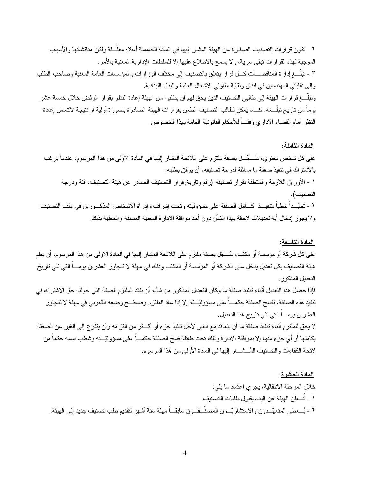٢ - تكون قرارات التصنيف الصادرة عن الهيئة المشار إليها في المادة الخامسة أعلاه معلّــلة ولكن مناقشاتها والأسباب الموجبة لهذه القر ار ات نبقى سرية، و لا يسمح بالاطلاع عليها إلا للسلطات الإدارية المعنية بالأمر . ٣ - نبلّــغ إدارة المناقصـــات كـــل قرار يتعلق بالتصنيف إلى مختلف الوزارات والمؤسسات العامة المعنية وصـاحب الطلب و إلى نقابتي المهندسين في لبنان ونقابة مقاولي الاشغال العامة والبناء اللبنانية. وتبلــــغ قر ار ات الـهيئة إلى طـالبـي التصنيف الذين يحق لهم أن يطلبو ا من الـهيئة إعادة النظر بقر ار الر فض خلال خمسة عشر يوما من تاريخ تبلـــغه. كـــما يمكن لطالب التصنيف الطعن بقر ارات الهيئة الصادرة بصورة أولية أو نتيجة لالتماس إعادة النظر أمام القضاء الاداري وفقـــا للأحكام القانونية العامة بهذا الخصوص.

#### <u>المادة الثامنة:</u>

على كل شخص معنوي، سُـــجِّـــل بصفة ملتزم على اللائحة المشار ۖ إليها في المادة الاولى من هذا المرسوم، عندما ير غب بالاشتر اك في تنفيذ صفقة ما مماثلة لدرجة تصنيفه، أن يرفق بطلبه:

١ - الأوراق اللازمة والمتعلقة بقرار تصنيفه (رقم وتاريخ قرار التصنيف الصادر عن هيئة التصنيف، فئة ودرجة التصنيف).

٢ - تعهّــداً خطياً بتتفيـــذ كـــامل الصفقة على مسؤوليته وتحت إشراف وإدراة الأشخاص المذكـــورين في ملف التصنيف و لا يجوز إدخال أية تعديلات لاحقة بهذا الشأن دون أخذ موافقة الادارة المعنية المسبقة والخطية بذلك.

#### <u>المادة التاسعة:</u>

على كل شركة أو مؤسسة أو مكتب، سُـــجّل بصفة ملتزم على اللائحة المشار إليها في المادة الاولى من هذا المرسوم، أن يعلم هيئة التصنيف بكل تعديل يدخل على الشركة أو المؤسسة أو المكتب وذلك في مهلة لا تتجاوز العشرين بومـــا التي تلي تاريخ التعدبل المذكور .

فإذا حصل هذا التعديل أثناء تتفيذ صفقة ما و كان التعديل المذكور ٍ من شأنه أن يفقد الملتز م الصفة التي خو لته حق الاشتر اك في نتفيذ هذه الصفقة، تفسخ الصفقة حكمــــا على مسؤوليّـــته إلا إذا عاد الملتزم وصـحّـــح وضـعه القانونـي فـي مـهلة لا نتجاوز العشر بن بو مــــا التبي نلبي نـار يـخ هذا النـعديل.

لا يحق للملتزم أثناء تنفيذ صفقة ما أن يتعاقد مع الغير لأجل نتفيذ جزء أو أكـــثر من النز امه و أن يتفر غ إلـي الغير عن الصفقة بكاملها أو أي جزء منها إلا بمو افقة الادارة وذلك تحت طائلة فسخ الصفقة حكمـــا على مسؤوليّـــته وشطب اسمه حكما من لائحة الكفاءات والتصنيف المُـــشــــار إليها في المادة الأولى من هذا المرسوم.

#### <u>المادة العاشرة</u>:

خلال المرحلة الانتقالية، يجري اعتماد ما يلي: ١ - تُـــعلن الـهيئة عن البدء بقبول طلبات التصنيف. ٢ - يُـــعطـى المتعهّــدون والاستشاريّــون المصنّــفــون سابقـــاً مهلة ستة أشهر لتقديم طلب تصنيف جديد إلىي الهيئة.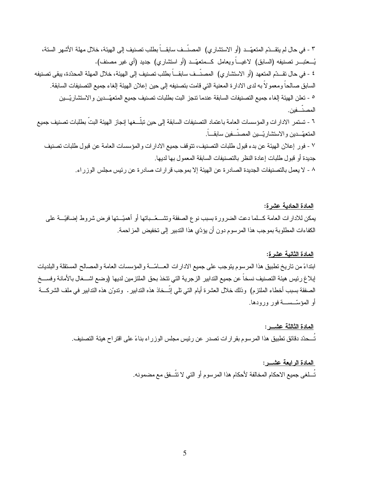٣ - في حال لم يتقــدّم المتعهّــد (أو الاستشاري) المصنَّــف سابقـــاً بطلب تصنيف إلى الهيئة، خلال مهلة الأشهر الستة، يُـــعتبــــــر تصنيفه (السابق) لاغيــــاً ويعامل كـــمتعهّـــد (أو استشاري) جديد (أي غير مصنف). ٤ - في حال تقـــدّم المتعهد (أو الاستشار ي) المصنّــف سابقـــاً بطلب تصنيف إلى الهيئة، خلال المهلة المحدّدة، يبقى تصنيفه السابق صـالحاً ومعمو لاً بـه لدى الادار ة المعنية التي قامت بتصنيفه إلى حين إعلان الهيئة إلغاء جميع التصنيفات السابقة. ° - تعلن الهيئة الغاء جميع التصنيفات السابقة عندما نتجز البت بطلبات تصنيف جميع المتعهِّــدين والاستشاريّــين المصنّفين.

٦ - تستمر الادار ات و المؤسسات العامة باعتماد التصنيفات السابقة إلى حين تبلّــغها إنجاز الهيئة البتّ بطلبات تصنيف جميع المتعهِّــدين و الاستشار بّـــين المصنّــفين سابقـــاً.

٧ - فور إعلان الهيئة عن بدء قبول طلبات التصنيف، تتوقف جميع الادارات والمؤسسات العامة عن قبول طلبات تصنيف جديدة أو قبول طلبات إعادة النظر بالتصنيفات السابقة المعمول بها لديها.

٨ - لا يعمل بالتصنيفات الجديدة الصادر ة عن الهيئة إلا بموجب قر ار ات صادر ة عن رئيس مجلس الوز ر اء.

#### المادة الحادية عشرة:

يمكن للادارات العامة كـــلما دعت الضرورة بسبب نوع الصفقة وتشـــعّــباتها أو أهميّــتها فرض شروط إضافيّـــة على الكفاءات المطلوبة بموجب هذا المرسوم دون أن يؤدّي هذا الندبير إلى تخفيض المزاحمة.

#### المادة الثانية عشرة:

ابنداءً من تاريخ تطبيق هذا المرسوم يتوجب على جميع الادارات العــامّـــة والمؤسسات العامة والمصالح المستقلة والبلديات إبلاغ رئيس هيئة التصنيف نسخاً عن جميع التدابير الزجرية التي تتخذ بحق الملتزمين لديها (وضع اشـــغال بالأمانة وفســخ الصفقة بسبب أخطاء الملتزم) وذلك خلال العشرة أيام التي نلي إتَّـــخاذ هذه الندابير . وندوِّن هذه الندابير في ملف الشركــــة أو المؤسّســة فور ورودها.

#### المادة الثالثة عشـــر :

تُـــحدّد دقائق تطبيق هذا المرسوم بقر ارات تصدر عن رئيس مجلس الوزر اء بناءً على اقتر اح هيئة التصنيف.

#### المادة الرابعة عشـــر:

تُسلِّغي جميع الاحكام المخالفة لأحكام هذا المرسوم أو التي لا تتُسفِّق مع مضمونه.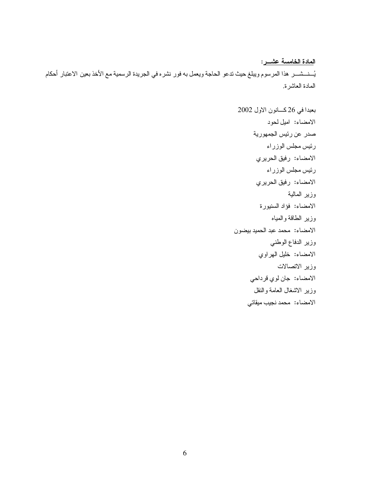# ا<u>لمادة الخامسة عشــر</u>: يُــنــشـــر هذا المرسوم ويبلغ حيث ندعو الحاجة ويعمل به فور نشره في الجريدة الرسمية مع الأخذ بعين الاعتبار أحكام المادة العاشرة.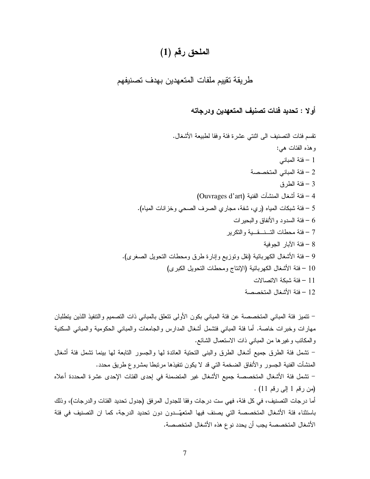## الملحق رقم (1)

## طريقة تقييم ملفات المتعهدين بهدف تصنيفهم

### أو لا : تحديد فئات تصنيف المتعهدين ودرجاته

. DHP (0
 3 3 / 2R 
 F5
 43 ! : 2@ 4
 M@ 2
 3 – 1 55J
 2
 3 – 2 L0
 3 – 3 ( Ouvrages d'art) 
 4`
 DH; 3 – 4 .( M
 48J 2\*5
 F5
 : :) M
 4C 3 – 5 4\*
 LP 
 3 – 6 C
 -- - 40\* 3 – 7 3 
 a 3 – 8 .( 9H5
 D \*
 40\* L0 /- 8 D) C
 DHP 3 – 9 ( 9C
 D \*
 40\* bY) C
 DHP 3 – 10 4,5, C 3 – 11 55J
 DHP 3 – 12

– نتميز فئة المباني المتخصصة عن فئة المباني بكون الأولى نتعلق بالمباني ذات التصميم والتتفيذ اللذين يتطلبان مهارات وخبرات خاصة. أما فئة المبانـي فتشمل أشغال المدارس والـجامعات والمبانـي الـحكومية والمبانـي السكنية و المكانب وغيرها من المباني ذات الاستعمال الشائع. – تشمل فئة الطرق جميع أشغال الطرق والبنبي التحتية العائدة لمها والجسور النابعة لمها بينما نشمل فئة أشغال المنشآت الفنية الجسور والأنفاق الضخمة التي قد لا يكون تنفيذها مرتبطا بمشروع طريق محدد. – تشمل فئة الأشغال المتخصصة جميع الأشغال غير المتضمنة في إحدى الفئات الإحدى عشرة المحددة أعلاه (من رقم 1 إلى رقم 11) . أما درجات التصنيف، في كل فئة، فهي ست درجات وفقا للجدول المرفق (جدول تحديد الفئات والدرجات)، وذلك باستثناء فئة الأشغال المتخصصة التي يصنف فيها المتعهَّــدون دون تحديد الدرجة، كما ان التصنيف في فئة الأشغال المتخصصة يجب أن يحدد نو ع هذه الأشغال المتخصصة.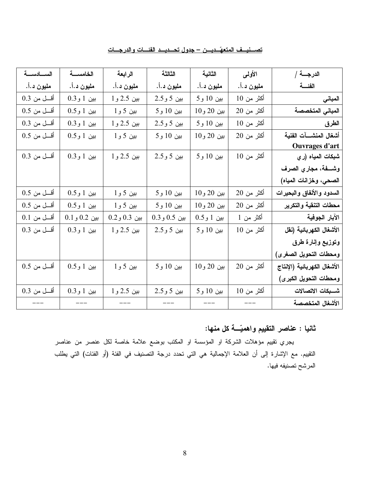| تصسنسف المتعهّسديسن – جدول تحسديسد الفئسات والدر جسات |
|-------------------------------------------------------|
|-------------------------------------------------------|

| الدرجــــة /                | الأولىي    | الثانية    | الثالثة      | الرابعة      | الخامسة      | السسادسة      |
|-----------------------------|------------|------------|--------------|--------------|--------------|---------------|
| الفئسة                      | مليون د.أ. | مليون د.أ. | مليون د.أ.   | مليون د.أ.   | مليون د.أ.   | مليون د.أ.    |
| المباني                     | أكثر من 10 | بين 10 و 5 | بين 5 و 2.5  | بين 2.5 و 1  | بين 1 و0.3   | أقسل من 0.3   |
| المباني المتخصصة            | أكثر من 20 | بين 20 و10 | بين 10 و 5   | بين 5 و 1    | بين 1 و0.5   | $0.5$ أقسل من |
| الطرق                       | أكثر من 10 | بين 10 و 5 | بين 5 و 2.5  | بين 2.5 و 1  | بين 1 و0.3   | أقل من 0.3    |
| أشغال المنشسآت الفنية       | أكثر من 20 | بين 20 و10 | بين 10 و 5   | بين 5 و 1    | بين 1 و0.5   | أقسل من 0.5   |
| <b>Ouvrages d'art</b>       |            |            |              |              |              |               |
| شبكات المياه (ري            | أكثر من 10 | بين 10 و 5 | بين 5 و 2.5  | بين 2.5 و 1  | بين 1 و 0.3  | أقسل من 0.3   |
| وشفة، مجاري الصرف           |            |            |              |              |              |               |
| الصحي، وخزانات المياه)      |            |            |              |              |              |               |
| السدود والأنفاق والبحيرات   | أكثر من 20 | بين 20 و10 | بين 10 و 5   | بين 5 و 1    | بين 1 و0.5   | $0.5$ أقسل من |
| محطات التنقية والتكرير      | أكثر من 20 | بين 20 و10 | بين 10 و 5   | بين 5 و 1    | بين 1 و0.5   | أقسل من 0.5   |
| الآبار الجوفية              | أكثر من 1  | بين 1 و0.5 | بين 0.5 و0.3 | بين 0.3 و0.2 | بين 0.2 و0.1 | أقل من 0.1    |
| الأشغال الكهربائية (نقل     | أكثر من 10 | بين 10 و 5 | بين 5 و 2.5  | بين 2.5 و 1  | بين 1 و 0.3  | أقل من 0.3    |
| وتوزيع وإنارة طرق           |            |            |              |              |              |               |
| ومحطات التحويل الصغرى)      |            |            |              |              |              |               |
| الأشغال الكهربائية (الإنتاج | أكثر من 20 | بين 20 و10 | بين 10 و 5   | بين 5 و 1    | بين 1 و0.5   | $0.5$ أقسل من |
| ومحطات التحويل الكبرى)      |            |            |              |              |              |               |
| شسبكات الاتصالات            | أكثر من 10 | بين 10 و 5 | بين 5 و 2.5  | بين 2.5 و 1  | بين 1 و 0.3  | أقسل من 0.3   |
| الأشغال المتخصصة            |            |            |              |              |              |               |

ثانيا : عناصر التقييم واهميّـــة كل منها:

يجري تقييم مؤهلات الشركة او المؤسسة او المكتب بوضع علامة خاصة لكل عنصر من عناصر النقييم. مع الإشارة إلى أن العلامة الإجمالية هي التي تحدد درجة التصنيف في الفئة (أو الفئات) التي يطلب المرشح تصنيفه فيها.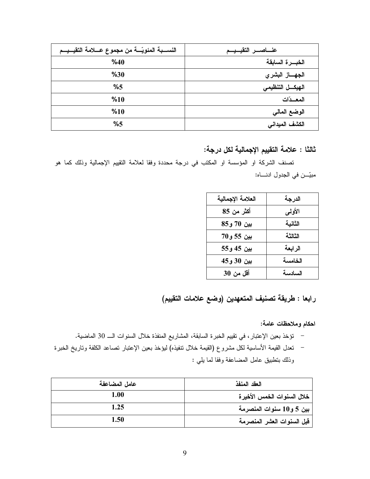| النســـبة المئويّـــة من مجموع عــــلامة التقيـــيـــم | عنساصس التقيسيسم   |
|--------------------------------------------------------|--------------------|
| %40                                                    | الخبسرة السابقة    |
| %30                                                    | الجهــــاز البشري  |
| %5                                                     | الهيكـــل التنظيمي |
| %10                                                    | المعسدّات          |
| %10                                                    | الوضع المالي       |
| %5                                                     | الكشف الميداني     |

ثالثا : علامة التقييم الإجمالية لكل درجة:

تصنف الشركة او المؤسسة او المكتب في درجة محددة وفقا لعلامة التقييم الإجمالية وذلك كما هو مبيّن في الجدول ادنــــاه:

| العلامة الإجمالية | الدرجة  |
|-------------------|---------|
| أكثر من 85        | الأولمي |
| بين 70 و85        | الثانية |
| بين 55 و70        | الثالثة |
| بين 45 و55        | الرابعة |
| بين 30 و45        | الخامسة |
| أقل من 30         | السادسة |

رابعا : طريقة تصنيف المتعهدين (وضع علامات التقييم)

احكام وملاحظات عامة:

– نؤخذ بعين الإعتبار ، في تقييم الخبر ة السابقة، المشاريع المنفذة خلال السنوات الـــ 30 الماضية. – تعدل القيمة الأساسية لكل مشروع (القيمة خلال نتفيذه) ليؤخذ بعين الإعتبار تصاعد الكلفة وتاريخ الخبرة وذلك بتطبيق عامل المضاعفة وفقا لما يلي :

| عامل المضاعفة | العقد المنفذ               |
|---------------|----------------------------|
| 1.00          | خلال السنوات الخمس الأخيرة |
| 1.25          | بين 5 و10 سنوات المنصرمة   |
| 1.50          | قبل السنوات العشر المنصرمة |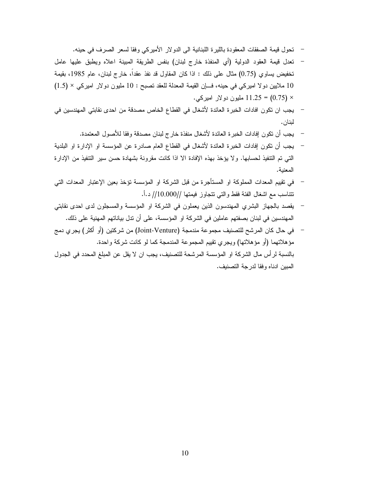- تحول قيمة الصفقات المعقودة بالليرة اللبنانية الى الدولار الأميركي وفقا لسعر الصرف في حينه.
- نعدل قيمة العقود الدولية (أي المنفذة خارج لبنان) بنفس الطريقة المبينة اعلاه ويطبق عليها عامل تخفيض يساوي (0.75) مثال على ذلك : اذا كان المقاول قد نفذ عقداً، خارج لبنان، عام 1985، بقيمة 10 ملايين دولا اميركي في حينه، فـــان القيمة المعدلة للعقد نصبح : 10 مليون دولار اميركي × (1.5) × (0.75) = 11.25 مليون دو لار اميركي.
- يجب ان تكون افادات الخبر ة العائدة لأشغال في القطاع الخاص مصدقة من احدى نقابتي المهندسين في لبنان.
	- يجب أن تكون إفادات الخبر ة العائدة لأشغال منفذة خارج لبنان مصدقة وفقا للأصول المعتمدة.
- يجب أن نكون إفادات الخبرة العائدة لأشغال في القطاع العام صادرة عن المؤسسة او الإدارة او البلدية  $\frac{1}{2}$ التي تم التتفيذ لحسابها. ولا يؤخذ بهذه الإفادة الا اذا كانت مقرونة بشهادة حسن سير التتفيذ من الإدارة المعنية.
- في تقييم المعدات المملوكة او المستأجرة من قبل الشركة او المؤسسة تؤخذ بعين الإعتبار المعدات التي نتتاسب مع اشغال الفئة فقط والتي نتجاوز فيمتها //10.000// د.أ.
- يقصد بالجهاز البشري المهندسون الذين يعملون في الشركة او المؤسسة والمسجلون لدى احدى نقابتي المهندسين في لبنان بصفتهم عاملين في الشركة او المؤسسة، على أن ندل بياناتهم المهنية على ذلك.
- في حال كان المرشح للتصنيف مجموعة مندمجة (Joint-Venture) من شركتين (أو أكثر) يجري دمج مؤهلاتهما (أو مؤهلاتها) ويجري نقييم المجموعة المندمجة كما لو كانت شركة واحدة. بالنسبة لرأس مال الشركة او المؤسسة المرشحة للتصنيف، يجب ان لا يقل عن المبلغ المحدد في الجدول المبين ادناه وفقا لدرجة التصنيف.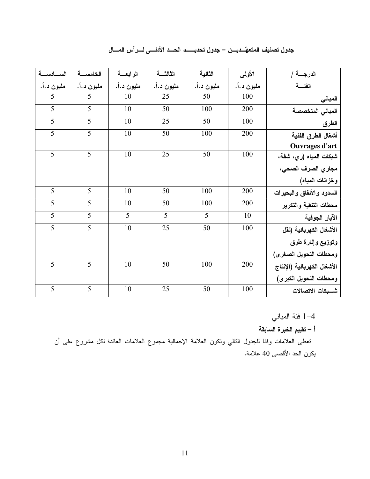| الدرجــــة /                | الأولىي    | الثانية        | الثالثسة       | الرابعة        | الخامسة        | السطدسة        |
|-----------------------------|------------|----------------|----------------|----------------|----------------|----------------|
| الفئسة                      | مليون د.أ. | مليون د.أ.     | مليون د.أ.     | مليون د.أ.     | مليون د.أ.     | مليون د.أ.     |
| المبانى                     | 100        | 50             | 25             | 10             | 5              | 5              |
| المبانى المتخصصة            | 200        | 100            | 50             | 10             | 5              | 5              |
| الطرق                       | 100        | 50             | 25             | 10             | $\overline{5}$ | $\overline{5}$ |
| أشغال الطرق الفنية          | 200        | 100            | 50             | 10             | $\overline{5}$ | $\overline{5}$ |
| Ouvrages d'art              |            |                |                |                |                |                |
| شبكات المياه (ري، شفة،      | 100        | 50             | 25             | 10             | $\overline{5}$ | 5              |
| مجاري الصرف الصحى،          |            |                |                |                |                |                |
| وخزانات المياه)             |            |                |                |                |                |                |
| السدود والأنفاق والبحيرات   | 200        | 100            | 50             | 10             | 5              | 5              |
| محطات التنقية والتكرير      | 200        | 100            | 50             | 10             | $\overline{5}$ | 5              |
| الآبار الجوفية              | 10         | $\overline{5}$ | $\overline{5}$ | $\overline{5}$ | $\overline{5}$ | $\overline{5}$ |
| الأشغال الكهربائية (نقل     | 100        | 50             | 25             | 10             | $\overline{5}$ | 5              |
| وتوزيع وإنارة طرق           |            |                |                |                |                |                |
| ومحطات التحويل الصغرى)      |            |                |                |                |                |                |
| الأشغال الكهربائية (الإنتاج | 200        | 100            | 50             | 10             | 5              | 5              |
| ومحطات التحويل الكبرى)      |            |                |                |                |                |                |
| شسبكات الاتصالات            | 100        | 50             | 25             | 10             | $\overline{5}$ | $\overline{5}$ |

جدول تصنيف المتعهّــديـــن – جدول تحديـــــد الحـــد الأدنــــى لــــرِ أس المـــال

1–4 فئة المباني

أ – تقييم الخبرة السابقة

تعطي العلامات وفقا للجدول النتالي ونكون العلامة الإجمالية مجموع العلامات العائدة لكل مشروع على أن يكون الحد الأقصى 40 علامة.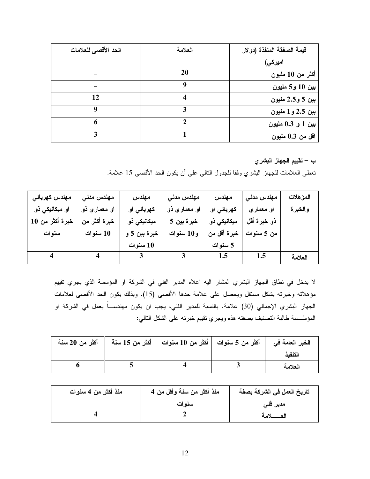| الحد الأقصى للعلامات | العلامة | قيمة الصفقة المنفذة (دولار |
|----------------------|---------|----------------------------|
|                      |         | امیرکی)                    |
|                      | 20      | أكثر من 10 مليون           |
|                      | ą       | بين 10 و5 مليون            |
| 12                   |         | بين 5 و 2.5 مليون          |
| q                    |         | بين 2.5 و1 مليون           |
| 6                    |         | بين 1 و 0.3 مليون          |
|                      |         | اقل من 0.3 مليون           |

ب – تقييم الجهاز البشري

تعطي العلامات للجهاز البشري وفقا للجدول النالبي على أن يكون الحد الأقصبي 15 علامة.

| مهندس كهربائى          | مهندس مدنى              | مهندس                   | مهندس مدنی            | مهندس       | مهندس مدنى  | المؤهلات |
|------------------------|-------------------------|-------------------------|-----------------------|-------------|-------------|----------|
| او میکانیک <i>ی</i> ذو | او معماری ذو            | كهربائي او              | او مع <i>م</i> اری ذو | كهربائي او  | او معماری   | والخبرة  |
| خبرة أكثر من 10        | خبرة أكثر من            | میکانیکی ذو             | خبرة بين 5            | میکانیکی ذو | ذو خبرة أقل |          |
| سنوات                  | 10 سنوات                | خبرة بين 5 و            | و10 سنوات             | خبرة أقل من | من 5 سنوات  |          |
|                        |                         | 10 سنوات                |                       | 5 سنوات     |             |          |
|                        | $\overline{\mathbf{4}}$ | $\overline{\mathbf{3}}$ |                       | 1.5         | 1.5         | العلامة  |

لا يدخل في نطاق الجهاز البشري المشار اليه اعلاه المدير الفني في الشركة او المؤسسة الذي يجري تقييم مؤهلاته وخبرته بشكل مستقل ويحصل على علامة حدها الأقصى (15). وبذلك يكون الحد الأقصى لعلامات الجهاز البشري الإجمالي (30) علامة. بالنسبة للمدير الفني، يجب ان يكون مهندســـاً يعمل في الشركة او المؤسَّــسة طالبة النصنيف بصفنه هذه ويجري نقييم خبرنه على الشكل النالي:

|  | الخبر العامة في      أكثر من 5 سنوات     أكثر من 10 سنوات     أكثر من 15 سنة      أكثر من 20 سنة |         |
|--|--------------------------------------------------------------------------------------------------|---------|
|  |                                                                                                  | التنفذ  |
|  |                                                                                                  | العلامة |

| منذ أكثر من 4 سنوات | منذ أكثر من سنة وأقل من 4 | تاريخ العمل في الشركة بصفة |
|---------------------|---------------------------|----------------------------|
|                     | سنوات                     | مدیر فنی                   |
|                     |                           | العسسلامة                  |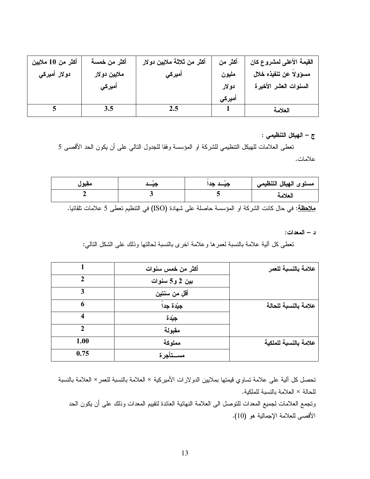| أكثر من 10 ملايين     | أكثر من خمسة | أكثر من ثلاثة ملايين دولار | أكثر من | القيمة الأعلى لمشروع كان |
|-----------------------|--------------|----------------------------|---------|--------------------------|
| دو لار أميرك <i>ي</i> | ملايين دولار | أميركى                     | مليون   | مسؤولاً عن تنفيذه خلال   |
|                       | أميركي       |                            | دولار   | السنوات العشر الأخيرة    |
|                       |              |                            | أميركى  |                          |
|                       |              | 2.5                        |         | العلامة                  |

#### ج – الهيكل التنظيمي :

تعطي العلامات للهيكل التنظيمي للشركة او المؤسسة وفقا للجدول النالبي على أن يكون الحد الأقصى 5 علامات.

| معبور | $\cdot$ | $\overline{\phantom{a}}$ | مستوى الهيكل التنظيمي |
|-------|---------|--------------------------|-----------------------|
|       |         |                          | العلامة               |

<mark>ملاحظة</mark>: في حال كانت الشركة او المؤسسة حاصلة على شهادة (ISO) في التنظيم تعطي 5 علامات تلقائيا.

د – المعدات:

نعطي كل ألية علامة بالنسبة لعمرها وعلامة اخرى بالنسبة لحالتها وذلك على الشكل النالبي:

|      | أكثر من خمس سنوات | علامة بالنسبة للعمر   |
|------|-------------------|-----------------------|
| 2    | بین 2 و5 سنوات    |                       |
| 3    | أقل من سنتين      |                       |
| 6    | جِيَدة جِداً      | علامة بالنسبة للحالة  |
| 4    | جِيَّدة           |                       |
| 2    | مقبولة            |                       |
| 1.00 | مملوكة            | علامة بالنسبة للملكية |
| 0.75 | مســتأجرة         |                       |

تحصل كل ألية على علامة تساوي فيمتها بملايين الدولارات الأميركية × العلامة بالنسبة للعمر × العلامة بالنسبة للحالة × العلامة بالنسبة للملكية.

ونجمع العلامات لجميع المعدات للنوصل الى العلامة النهائية العائدة لنقييم المعدات وذلك على أن يكون الحد الأقصى للعلامة الإجمالية هو (10).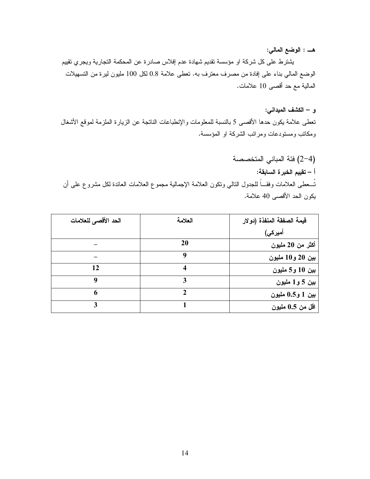#### هــــ : الوضع المالي:

يشترط على كل شركة او مؤسسة تقديم شهادة عدم إفلاس صادرة عن المحكمة التجارية ويجري تقييم الوضع المالي بناء على إفادة من مصرف معترف به. نعطي علامة 0.8 لكل 100 مليون ليرة من التسهيلات المالية مع حد أقصىي 10 علامات.

#### و – الكشف الميداني:

نعطي علامة يكون حدها الأقصبي 5 بالنسبة للمعلومات والإنطباعات الناتجة عن الزيارة الملزمة لموقع الأشغال ومكانب ومستودعات ومرائب الشركة او المؤسسة.

(4–2) فئة المباني المتخصصة أ – تقييم الخبر ة السابقة: تُسعطي العلامات وفقـــاً للجدول النالي ونكون العلامة الإجمالية مجموع العلامات العائدة لكل مشروع على أن يكون الحد الأقصىي 40 علامة.

| الحد الأقصى للعلامات | العلامة | قيمة الصفقة المنفذة (دولار |
|----------------------|---------|----------------------------|
|                      |         | أميركي)                    |
|                      | 20      | أكثر من 20 مليون           |
|                      |         | بين 20 و10 مليون           |
| 12                   |         | بين 10 و5 مليون            |
| 9                    | 3       | بين 5 و1 مليون             |
| 6                    | ኅ       | بين 1 و0.5 مليون           |
| 3                    |         | اقل من 0.5 مليون           |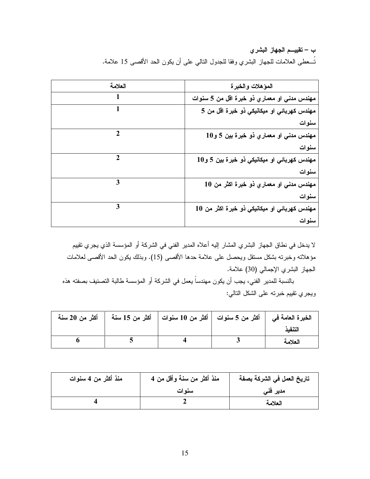ب – تقييـــم الجهاز البشري نُســعطـي الـعلامات للـجهاز البشري وفقا للـجدول النـالـي علـي أن يكون الـحد الأقصــي 15 علامـة.

| العلامة | المؤهلات والخبرة                             |
|---------|----------------------------------------------|
|         | مهندس مدني او معماري ذو خبرة اقل من 5 سنوات  |
| 1       | مهندس كهربائي او ميكانيكي ذو خبرة اقل من 5   |
|         | سنوات                                        |
|         | مهندس مدنی او معماري ذو خبرة بين 5 و10       |
|         | سنوات                                        |
| 2       | مهندس كهربائي او ميكانيكي ذو خبرة بين 5 و10  |
|         | سنوات                                        |
| 3       | مهندس مدني او معماري ذو خبرة اكثر من 10      |
|         | سنوات                                        |
| 3       | مهندس كهربائي او ميكانيكي ذو خبرة اكثر من 10 |
|         | سنوات                                        |

لا يدخل في نطاق الجهاز البشري المشار إليه أعلاه المدير الفني في الشركة أو المؤسسة الذي يجري تقييم مؤهلاته وخبرته بشكل مستقل ويحصل على علامة حدها الأقصـي (15). وبذلك يكون الحد الأقصـي لعلامات الجهاز البشري الإجمالي (30) علامة.

بالنسبة للمدير الفني، يجب أن يكون مهندساً يعمل في الشركة أو المؤسسة طالبة التصنيف بصفته هذه ويجري نقييم خبرته على الشكل النتالي:

| أكثر من 20 سنة | الخبرة العامة في     أكثر من 5 سنوات    أكثر من 10 سنوات    أكثر من 15 سنة |         |
|----------------|----------------------------------------------------------------------------|---------|
|                |                                                                            | التنفذ  |
|                |                                                                            | العلامة |

| منذ أكثر من 4 سنوات | منذ أكثر من سنة وأقل من 4 | تاريخ العمل في الشركة بصفة |
|---------------------|---------------------------|----------------------------|
|                     | سنوات                     | مدیر فنی                   |
|                     |                           | العلامة                    |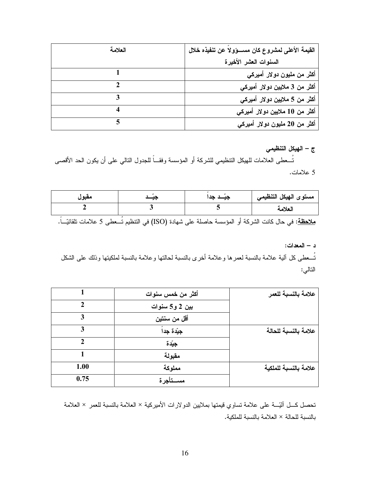| العلامة | القيمة الأعلى لمشروع كان مســـؤولاً عن تنفيذه خلال |
|---------|----------------------------------------------------|
|         | السنوات العشر الأخيرة                              |
|         | أكثر من مليون دولار أميركي                         |
|         | أكثر من 3 ملايين دولار أميركي                      |
|         | أكثر من 5 ملايين دولار أميركي                      |
|         | أكثر من 10 ملايين دولار أميركي                     |
|         | أكثر من 20 مليون دولار أميركي                      |

ج – الهيكل التنظيمي

تُـــعطي العلامات للهيكل التنظيمي للشركة أو المؤسسة وفقـــاً للجدول التالي على أن يكون الحد الأقصـي 5 علامات.

| معبور | . . | $-$ | مستوى الهيكل التنظيمي |
|-------|-----|-----|-----------------------|
|       |     |     | العلامة               |

<u>ملاحظة</u>: في حال كانت الشركة أو المؤسسة حاصلة على شهادة (ISO) في التنظيم تُـــعطى 5 علامات تلقائيّـــاً.

د – المعدات:

تُسعطي كل ألية علامة بالنسبة لعمرها وعلامة أخرى بالنسبة لحالتها وعلامة بالنسبة لملكيتها وذلك على الشكل التالي:

|      | أكثر من خمس سنوات | علامة بالنسبة للعمر   |
|------|-------------------|-----------------------|
|      | بين 2 و5 سنوات    |                       |
| 3    | أقل من سنتين      |                       |
| 3    | جِيّدة جِداً      | علامة بالنسبة للحالة  |
| າ    | جيّدة             |                       |
|      | مقبولة            |                       |
| 1.00 | مملوكة            | علامة بالنسبة للملكية |
| 0.75 | مســتأجرة         |                       |

تحصل كـــل ألبّــــة على علامة تساوي قيمتها بملايين الدولارات الأميركية × العلامة بالنسبة للعمر × العلامة بالنسبة للحالة × العلامة بالنسبة للملكية.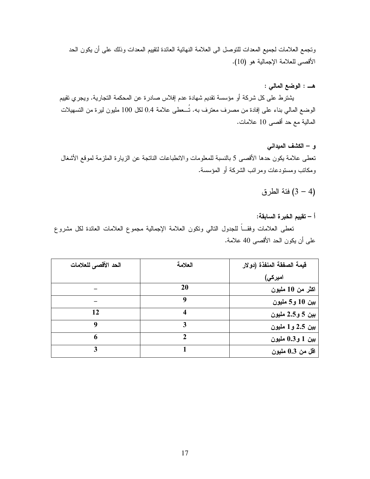ونجمع العلامات لجميع المعدات للنوصل الى العلامة النهائية العائدة لنقييم المعدات وذلك على أن يكون الحد الأقصبي للعلامة الإجمالية هو (10).

#### هــــ : الوضع المالي :

يشترط على كل شركة أو مؤسسة نقديم شهادة عدم إفلاس صادرة عن المحكمة التجارية. ويجري نقييم الوضع المالي بناء على إفادة من مصرف معترف به. تُـــعطى علامة 0.4 لكل 100 مليون ليرة من التسهيلات المالية مع حد أقصى 10 علامات.

و – الكشف الميداني

تعطي علامة يكون حدها الأقصبي 5 بالنسبة للمعلومات والانطباعات الناتجة عن الزيارة الملزمة لموقع الأشغال ومكانب ومستودعات ومرائب الشركة أو المؤسسة.

## فئة الطرق (4 – 3)

#### أ – تقييم الخبر ة السابقة:

نعطى العلامات وفقـــاً للجدول النالبي ونكون العلامة الإجمالية مجموع العلامات العائدة لكل مشروع على أن يكون الحد الأقصىي 40 علامة.

| الحد الأقصى للعلامات | العلامة | فَيِمة الصفقة المنفذة (دولار |
|----------------------|---------|------------------------------|
|                      |         | امیرکی)                      |
|                      | 20      | اكثر من 10 مليون             |
|                      |         | بين 10 و5 مليون              |
| 12                   | 4       | بين 5 و2.5 مليون             |
| 9                    |         | بين 2.5 و1 مليون             |
| 6                    |         | بين 1 و0.3 مليون             |
| 3                    |         | اقل من 0.3 مليون             |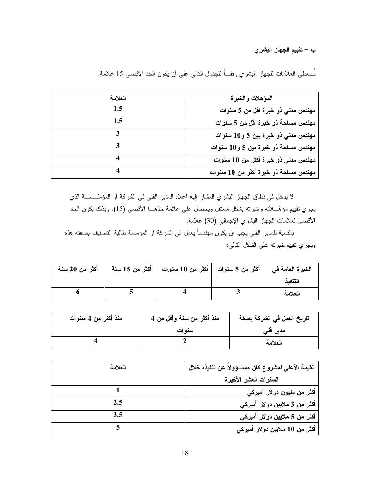ب – تقييم الجهاز البشري

نُســعطي الـعلامات للـجهاز البشري وفقـــاً للـجدول النـالـي علـي أن يكون الـحد الأقصـي 15 علامـة.

| العلامة | المؤهلات والخبرة                     |
|---------|--------------------------------------|
| 1.5     | مهندس مدنى ذو خبرة اقل من 5 سنوات    |
| 1.5     | مهندس مساحة ذو خبرة اقل من 5 سنوات   |
|         | مهندس مدنی ذو خبرة بین 5 و10 سنوات   |
|         | مهندس مساحة ذو خبرة بين 5 و10 سنوات  |
|         | مهندس مدنی ذو خبرة أكثر من 10 سنوات  |
|         | مهندس مساحة ذو خبرة أكثر من 10 سنوات |

لا يدخل في نطاق الجهاز البشري المشار إليه أعلاه المدير الفني في الشركة أو المؤسِّســـة الذي يجري نقييم مؤهّــــلانه وخبرنه بشكل مستقل ويحصل على علامة حدّهــــا الأقصــي (15). وبذلك يكون الحد الأقصى لعلامات الجهاز البشري الإجمالي (30) علامة.

بالنسبة للمدير الفني يجب أن يكون مهندساً يعمل في الشركة او المؤسسة طالبة التصنيف بصفته هذه ويجري نقييم خبرته على الشكل النالي:

|  | الخبرة العامة في   أكثر من 5 سنوات   أكثر من 10 سنوات   أكثر من 15 سنة   أكثر من 20 سنة |         |
|--|-----------------------------------------------------------------------------------------|---------|
|  |                                                                                         | التنفد  |
|  |                                                                                         | العلامة |

| منذ أكثر من 4 سنوات | منذ أكثر من سنـة وأقل من 4 | تاريخ العمل في الشركة بصفة |
|---------------------|----------------------------|----------------------------|
|                     | سنوات                      | مدیر فنی                   |
|                     |                            | العلامة                    |

| العلامة | القيمة الأعلى لمشروع كان مســـؤولاً عن تنفيذه خلال |
|---------|----------------------------------------------------|
|         | السنوات العشر الأخيرة                              |
|         | أكثر من مليون دولار أميركي                         |
| 2.5     | أكثر من 3 ملايين دولار أميركي                      |
| 3.5     | أكثر من 5 ملايين دولار أميركي                      |
|         | أكثر من 10 ملايين دولار أميركي                     |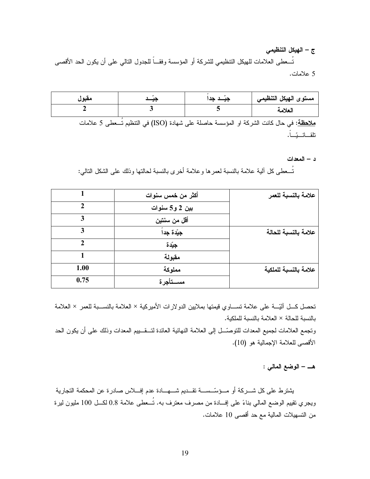ج – الهيكل التنظيمي تُـــعطي العلامات للهيكل التنظيمي للشركة أو المؤسسة وفقـــاً للجدول التالي على أن يكون الحد الأقصـي 5 علامات.

| مقبول |                                                                                                        | مستوى الهيكل التنظيمي |
|-------|--------------------------------------------------------------------------------------------------------|-----------------------|
|       |                                                                                                        | العلامة               |
|       | <mark>ملاحظة</mark> : في حال كانت الشركة او المؤسسة حاصلة على شهادة (ISO) في التنظيم تُـــعطى 5 علامات |                       |

د – المعدات

تُسـعطـي كل ألية علامة بالنسبة لعمر ها و علامة أخر ي بالنسبة لـحالتها وذلك علـي الشكل النالـي:

|               | أكثر من خمس سنوات | علامة بالنسبة للعمر   |
|---------------|-------------------|-----------------------|
| $\mathcal{D}$ | بین 2 و5 سنوات    |                       |
| 3             | أقل من سنتين      |                       |
| 3             | جِيَدة جِداً      | علامة بالنسبة للحالة  |
| $\mathcal{D}$ | جيّدة             |                       |
|               | مقبولة            |                       |
| 1.00          | مملوكة            | علامة بالنسبة للملكية |
| 0.75          | مســتأجرة         |                       |

تحصل كـــل آليّـــة على علامة تســـاوي قيمتها بملايين الدولارات الأميركية × العلامة بالنســـبة للعمر × العلامة بالنسبة للحالة × العلامة بالنسبة للملكية.

وتجمع العلامات لجميع المعدات للتوصّـــل إلى العلامة النهائية العائدة لتـــقــــييم المعدات وذلك على أن يكون الحد الأقصبي للعلامة الإجمالية هو (10).

هــــ – الوضع المالمي :

يشترط على كل شـــركة أو مـــؤسّــســــة تقـــديم شــــهــــادة عدم إفــــلاس صـادرة عن المحكمة التجارية ويجري نقييم الوضع المالي بناءً على إف1دة من مصرف معترف به. تُـــعطى علامة 0.8 لكـــل 100 مليون ليرة من التسهيلات المالية مع حد أقصـي 10 علامات.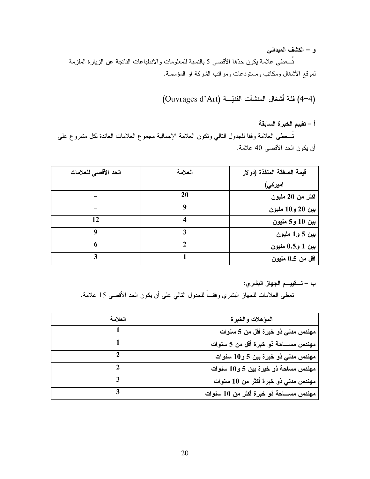و – الكشف الميدانس

تُسعطي علامة يكون حدِّها الأقصـي 5 بالنسبة للمعلومات والانطباعات الناتجة عن الزيارة الملزمة لموقع الأشغال ومكانب ومستودعات ومرائب الشركة او المؤسسة.

(4-4) فئة أشغال المنشآت الفنيّة (Ouvrages d'Art)

أ – تقييم الخبرة السابقة

نُسعطى العلامة وفقا للجدول النالي ونكون العلامة الإجمالية مجموع العلامات العائدة لكل مشروع على أن يكون الحد الأقصىي 40 علامة.

| الحد الأقصى للعلامات | العلامة | قيمة الصفقة المنفذة (دولار |
|----------------------|---------|----------------------------|
|                      |         | امیرکی)                    |
|                      | 20      | اكثر من 20 مليون           |
|                      | q       | بين 20 و10 مليون           |
| 12                   |         | بين 10 و5 مليون            |
| 9                    | 3       | بين 5 و1 مليون             |
| 6                    |         | بين 1 و0.5 مليون           |
| 3                    |         | اقل من 0.5 مليون           |

ب – تــــقييــــم الجـهاز البشري:

نعطي العلامات للجهاز البشري وفقـــاً للجدول النالـي علـى أن يكون الـحد الأقصــى 15 علامة.

| العلامة | المؤهلات والخبرة                         |
|---------|------------------------------------------|
|         | مهندس مدنى ذو خبرة أقل من 5 سنوات        |
|         | مهندس مســـاحة ذو خبرة أقل من 5 سنوات    |
|         | مهندس مدنی ذو خبرة بین 5 و10 سنوات       |
|         | مهندس مساحة ذو خبرة بين 5 و10 سنوات      |
|         | مهندس مدنى ذو خبرة أكثر من 10 سنوات      |
|         | مهندس مســــاحة ذو خبرة أكثر من 10 سنوات |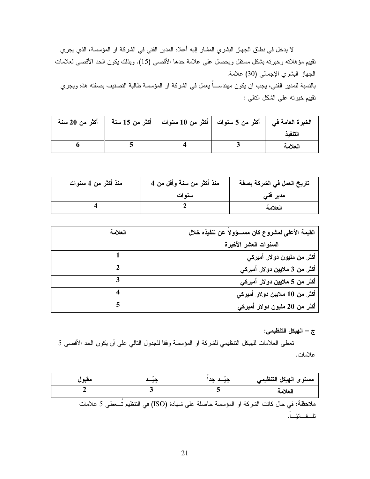لا يدخل في نطاق الجهاز البشري المشار إليه أعلاه المدير الفني في الشركة او المؤسسة، الذي يجري نقييم مؤهلاته وخبرته بشكل مستقل ويحصل على علامة حدها الأقصى (15). وبذلك يكون الحد الأقصى لعلامات الجهاز البشري الإجمالي (30) علامة. بالنسبة للمدير الفني، يجب ان يكون مهندســـاً يعمل في الشركة او المؤسسة طالبة التصنيف بصفته هذه ويجري تقييم خبرته على الشكل التالي :

|  | الخبرة العامة في   أكثر من 5 سنوات   أكثر من 10 سنوات   أكثر من 15 سنة   أكثر من 20 سنة |         |
|--|-----------------------------------------------------------------------------------------|---------|
|  |                                                                                         |         |
|  |                                                                                         | العلامة |

| منذ أكثر من 4 سنوات | منذ أكثر من سنة وأقل من 4 | تاريخ العمل في الشركة بصفة |
|---------------------|---------------------------|----------------------------|
|                     | سنو ات                    | مدیر فنی                   |
|                     |                           | العلامة                    |

| العلامة | القيمة الأعلى لمشروع كان مســـؤولاً عن تنفيذه خلال |
|---------|----------------------------------------------------|
|         | السنوات العشر الأخيرة                              |
|         | أكثر من مليون دولار أميركي                         |
|         | أكثر من 3 ملايين دولار أميركي                      |
|         | أكثر من 5 ملايين دولار أميركي                      |
|         | أكثر من 10 ملايين دولار أميركي                     |
|         | أكثر من 20 مليون دولار أميركي                      |

ج – الهيكل التنظيمي:

تعطي العلامات للهيكل النتظيمي للشركة او المؤسسة وفقا للجدول النالي على أن يكون الحد الأقصى 5 علامات.

| مقبول |                                                                                                        | مستوى الهيكل التنظيمي |
|-------|--------------------------------------------------------------------------------------------------------|-----------------------|
|       |                                                                                                        | العلامة               |
|       | <mark>ملاحظة</mark> : في حال كانت الشركة او المؤسسة حاصلة على شهادة (ISO) في التنظيم تُـــعطى 5 علامات |                       |
|       |                                                                                                        |                       |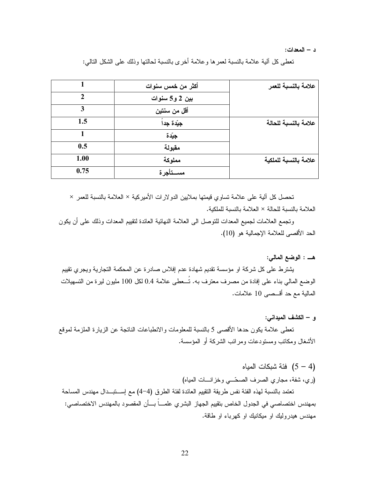د – المعدات:

تعطي كل ألية علامة بالنسبة لعمر ها و علامة أخرى بالنسبة لحالتها وذلك على الشكل النالي:

|      | أكثر من خمس سنوات | علامة بالنسبة للعمر   |
|------|-------------------|-----------------------|
|      | بين 2 و5 سنوات    |                       |
|      | أقل من سنتين      |                       |
| 1.5  | جِيّدة جِداً      | علامة بالنسبة للحالة  |
|      | جيّدة             |                       |
| 0.5  | مقبولة            |                       |
| 1.00 | مملوكة            | علامة بالنسبة للملكية |
| 0.75 | مســتأجرة         |                       |

تحصل كل آلية على علامة تساوي قيمتها بملايين الدولارات الأميركية × العلامة بالنسبة للعمر × العلامة بالنسبة للحالة × العلامة بالنسبة للملكية.

وتجمع العلامات لجميع المعدات للنوصل الى العلامة النهائية العائدة لنقييع المعدات وذلك على أن يكون الحد الأقصبي للعلامة الإجمالية هو (10).

هــــ : الوضع المالمي:

يشترط على كل شركة او مؤسسة تقديم شهادة عدم إفلاس صادرة عن المحكمة التجارية ويجري تقييم الوضع المالي بناء على إفادة من مصرف معترف به. تُــعطى علامة 0.4 لكل 100 مليون ليرة من التسهيلات المالية مع حد أقسصي 10 علامات.

و – الكشف الميداني:

تعطي علامة يكون حدها الأقصبي 5 بالنسبة للمعلومات والانطباعات الناتجة عن الزيارة الملزمة لموقع الأشغال ومكانب ومستودعات ومرائب الشركة أو المؤسسة.

> (4 – 5) فئة شبكات المياه (ري، شفة، مجاري الصرف الصحّــي وخزانـــات المياه)

تعتمد بالنسبة لهذه الفئة نفس طريقة التقييم العائدة لفئة الطرق (4–4) مع إســـتبـــدال مهندس المساحة بمهندس اختصـاصـي في الـجدول الـخاص بتقييم الـجهاز البشري علمــــاً بــــأن المقصـود بـالمـهندس الاختصـاصـي: مهندس هيدروليك او ميكانيك او كهرباء او طاقة.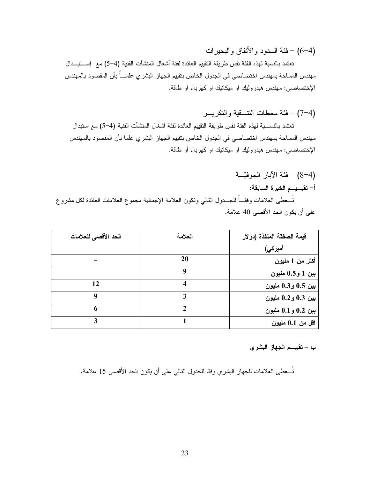(4–6) – فئة السدود والأنفاق والبحيرات

تعتمد بالنسبة لهذه الفئة نفس طريقة التقييم العائدة لفئة أشغال المنشآت الفنية (4–5) مع إســـتبـــدال مهندس المساحة بمهندس اختصاصبي في الجدول الخاص بتقييم الجهاز البشري علمــــاً بأن المقصود بالمهندس الإختصاصي: مهندس هيدروليك او ميكانيك او كهرباء او طاقة.

(4–7) – فئة محطات النتسقية والنكريسر

تعتمد بالنســـبـة لـهذه الفئـة نفس طريقة التقييم الـعائدة لفئـة أشغال المنشآت الفنيـة (4–5) مـع استبدال مهندس المساحة بمهندس اختصاصيي في الجدول الخاص بتقييم الجهاز البشري علما بأن المقصود بالمهندس الإختصاصي: مهندس هيدروليك او ميكانيك او كهرباء أو طاقة.

(4–8) – فئة الآبار الجوفيّة أ– تقيسيسم الخبرة السابقة: تُسعطي العلامات وفقـــاً للجـــدول النالـي ونكون العلامة الإجمالية مجموع العلامات العائدة لكل مشروع على أن يكون الحد الأقصى 40 علامة.

| الحد الأقصى للعلامات | العلامة | قيمة الصفقة المنفذة (دولار |
|----------------------|---------|----------------------------|
|                      |         | أميركي)                    |
|                      | 20      | أكثر من 1 مليون            |
|                      |         | بين 1 و0.5 مليون           |
| 12                   | 4       | بين 0.5 و0.3 مليون         |
| 9                    | 3       | بين 0.3 و0.2 مليون         |
| 6                    |         | بين 0.2 و0.1 مليون         |
| 3                    |         | اقل من 0.1 مليون           |

#### ب – تقييـــم الجهاز البشر ي

نُـــعطـى الـعلامات للـجهاز البشري وفقا للـجدول النـالـى علـى أن يكون الـحد الأقصــى 15 علامـة.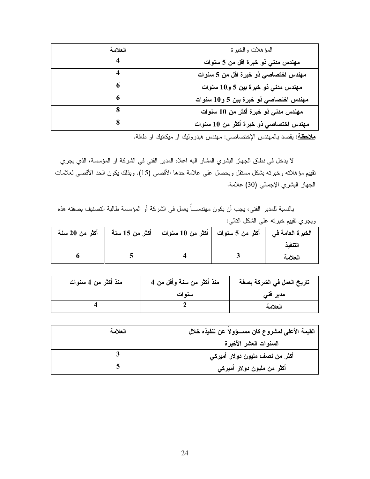| العلامة | المؤهلات والخبرة                       |
|---------|----------------------------------------|
| 4       | مهندس مدنى ذو خبرة اقل من 5 سنوات      |
|         | مهندس اختصاصي ذو خبرة اقل من 5 سنوات   |
|         | مهندس مدنی ذو خبرة بین 5 و10 سنوات     |
| 6       | مهندس اختصاصی ذو خبرة بين 5 و10 سنوات  |
|         | مهندس مدني ذو خبرة أكثر من 10 سنوات    |
|         | مهندس اختصاصی ذو خبرة أكثر من 10 سنوات |

<u>ملاحظة</u>: يقصد بالمهندس الإختصاصبي: مهندس هيدروليك او ميكانيك او طاقة.

لا يدخل في نطاق الجهاز البشري المشار اليه اعلاه المدير الفني في الشركة او المؤسسة، الذي يجري نقييم مؤهلانه وخبرته بشكل مستقل ويحصل على علامة حدها الأقصـي (15). وبذلك يكون الحد الأقصـي لعلامات الجهاز البشري الإجمالي (30) علامة.

بالنسبة للمدير الفني، يجب أن يكون مهندســـاً يعمل في الشركة أو المؤسسة طالبة التصنيف بصفته هذه ويجري تقييم خبرته على الشكل التالي:

| أكثر من 20 سنة | الخبرة العامة في   أكثر من 5 سنوات   أكثر من 10 سنوات   أكثر من 15 سنة |         |
|----------------|------------------------------------------------------------------------|---------|
|                |                                                                        | التنفد  |
|                |                                                                        | العلامة |

| منذ أكثر من 4 سنوات | منذ أكثر من سنة وأقل من 4 | تاريخ العمل في الشركة بصفة |
|---------------------|---------------------------|----------------------------|
|                     | سنو ات                    | مدیر فنی                   |
|                     |                           | العلامة                    |

| العلامة | القيمة الأعلى لمشروع كان مســـؤولاً عن تنفيذه خلال |
|---------|----------------------------------------------------|
|         | السنوات العشر الأخيرة                              |
|         | أكثر من نصف مليون دولار أميركي                     |
|         | أكثر من مليون دولار أميركي                         |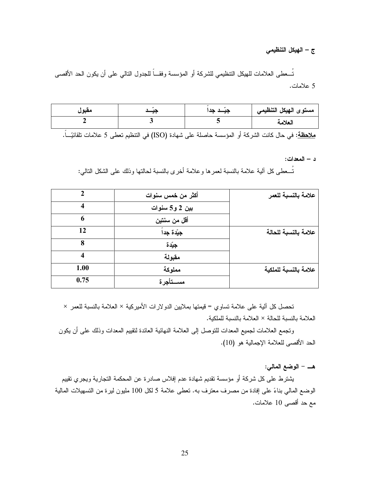#### ج – الهيكل التنظيمي

تُـــعطي الـعلامات للـهيكل التنظيمي للشركة أو المؤسسة وفقـــاً للجدول التالي علي أن يكون الـحد الأقصـي 5 علامات.

| مقبول | ļ | $\overline{\phantom{a}}$ | مستوى الهيكل التنظيمي |
|-------|---|--------------------------|-----------------------|
|       |   |                          | العلامة               |

<mark>ملاحظة</mark>: في حال كانت الشركة أو المؤسسة حاصلة على شهادة (ISO) في التنظيم تعطي 5 علامات تلقائيّـــاً.

د – المعدات:

تُسـعطـي كل آلية علامة بالنسبة لعمر ها و علامة أخر ي بالنسبة لـحالتها وذلك علمي الشكل التالمي:

|      | أكثر من خمس سنوات | علامة بالنسبة للعمر   |
|------|-------------------|-----------------------|
| 4    | بين 2 و5 سنوات    |                       |
| 6    | أقل من سنتين      |                       |
| 12   | جِيَدة جِداً      | علامة بالنسبة للحالة  |
| 8    | جيّدة             |                       |
| 4    | مقبولة            |                       |
| 1.00 | مملوكة            | علامة بالنسبة للملكية |
| 0.75 | مســتأجرة         |                       |

تحصل كل آلية على علامة تساوى = قيمتها بملايين الدولارات الأميركية × العلامة بالنسبة للعمر × العلامة بالنسبة للحالة × العلامة بالنسبة للملكية.

وتجمع العلامات لجميع المعدات للنوصل إلى العلامة النهائية العائدة لنقييم المعدات وذلك على أن يكون الحد الأقصبي للعلامة الإجمالية هو (10).

هـــ – الوضع المالي:

يشترط على كل شركة أو مؤسسة تقديم شهادة عدم إفلاس صادرة عن المحكمة التجارية ويجري تقييم الوضع المالي بناءً على إفادة من مصرف معترف به. تعطي علامة 5 لكل 100 مليون ليرة من التسهيلات المالية مع حد أقصبي 10 علامات.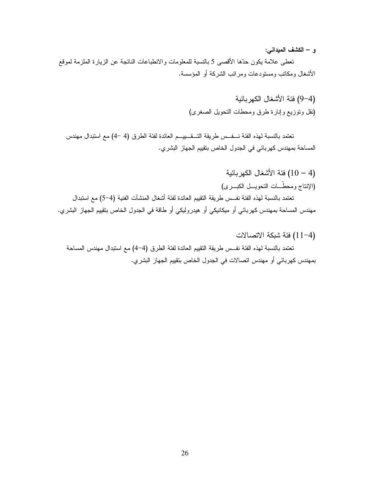و – الكشف الميداني:

نعطي علامة يكون حدِّها الأقصـي 5 بالنسبة للمعلومات والانطباعات الناتجة عن الزيارة الملزمة لموقع الأشغال ومكاتب ومستودعات ومر ائب الشركة أو المؤسسة.

> (4–9) فئة الأشغال الكهر بائية (نقل وتوزيع وإنارة طرق ومحطات التحويل الصغرى)

تعتمد بالنسبة لهذه الفئة نـــفــس طريقة التـــقــــييـــم العائدة لفئة الطرق (4 –4) مع استبدال مهندس المساحة بمهندس كهربائي في الجدول الخاص بتقييم الجهاز البشري.

- (4 10) فئة الأشغال الكهربائية (الإنتاج ومحطَّــات التحويـــل الكبـــرى) تعتمد بالنسبة لهذه الفئة نفـس طريقة التقييم العائدة لفئة أشغال المنشآت الفنية (4–5) مع استبدال مهندس المساحة بمهندس كهربائي أو ميكانيكي أو هيدروليكي أو طاقة في الجدول الخاص بتقييم الجهاز البشري.
	- (4–11) فئة شبكة الاتصالات

تعتمد بالنسبة لهذه الفئة نفــس طريقة التقييم العائدة لفئة الطرق (4–4) مـع استبدال مهندس المساحة بمهندس كهربائي أو مهندس اتصالات في الجدول الخاص بتقييم الجهاز البشري.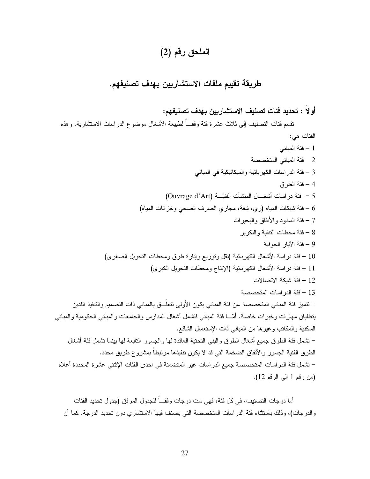## الملحق رقم (2)

## طريقة تقييم ملفات الاستشاريين بهدف تصنيفهم.

أولاً : تحديد فئات تصنيف الاستشاريين بهدف تصنيفهم:

تقسم فئات التصنيف إلى ثلاث عشرة فئة وفقـــاً لطبيعة الأشغال موضوع الدراسات الاستشارية. وهذه الفئات هي: 1 – فئة المباني 2 - فئة المباني المتخصصة 3 – فئة الدر اسات الكهربائية و الميكانيكية في المباني 4 – فئة الطر ق 5 - فئة در اسات أشغــال المنشآت الفنيّــة (Ouvrage d'Art) فئة شبكات المياه (ري، شفة، مجاري الصرف الصحى وخز انات المياه) – 7 – فئة السدو د و الأنفاق و البحير ات 8 – فئة محطات النتقية و النكر بر 9 – فئة الآبار الجوفية 10 – فئة دراسة الأشغال الكهربائية (نقل وتوزيع وإنارة طرق ومحطات التحويل الصغرى) 11 – فئة دراسة الأشغال الكهربائية (الإنتاج ومحطات التحويل الكبرى) 12 – فئة شبكة الاتصالات 13 – فئة الدر اسات المتخصصة – نتميز فئة المباني المتخصصة عن فئة المباني بكون الأولى نتعلَّــق بالمباني ذات التصميم و التنفيذ اللذين يتطلبان مهارات وخبرات خاصة. أمّـــا فئة المباني فتشمل أشغال المدارس والجامعات والمباني الحكومية والمباني السكنية والمكانب وغيرها من المباني ذات الإستعمال الشائع. – نتشمل فئة الطرق جميع أشغال الطرق والبنبي التحتية العائدة لها والجسور النابعة لها ببينما نتسمل فئة أشغال الطرق الفنية الجسور والأنفاق الضخمة التبي قد لا يكون نتفيذها مرتبطاً بمشروع طريق محدد. – تشمل فئة الدر اسات المتخصصة جميع الدر اسات غير المتضمنة في احدى الفئات الإثنتي عشرة المحددة أعلاه (من رقم 1 الى الرقم 12).

أما درجات التصنيف، في كل فئة، فهي ست درجات وفقـــاً للجدول المرفق (جدول تحديد الفئات والدرجات)، وذلك باستثناء فئة الدراسات المتخصصة التي يصنف فيها الاستشاري دون تحديد الدرجة. كما أن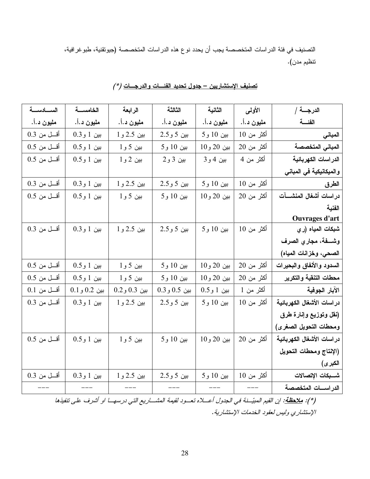التصنيف في فئة الدر اسات المتخصصة يجب أن يحدد نوع هذه الدر اسات المتخصصة (جيوتقنية، طبو غر افية، تنظيم مدن).

| السادسة       | الخامسة       | الرابعة      | الثالثة       | الثانية      | الأولمي    | الدرجــــة /               |
|---------------|---------------|--------------|---------------|--------------|------------|----------------------------|
| مليون د.أ.    | مليون د.أ.    | مليون د.أ.   | مليون د.أ.    | مليون د.أ.   | مليون د.أ. | الفئسة                     |
| أقسل من 0.3   | بين 1 و0.3    | بين 2.5 و 1  | بين 5 و 2.5   | بين 10 و 5   | أكثر من 10 | المبانى                    |
| أقسل من 0.5   | بين 1 و0.5    | بين 5 و 1    | بين 10 و 5    | بين 20 و10   | أكثر من 20 | المبانى المتخصصة           |
| أقسل من 0.5   | بين 1 و0.5    | بين 2 و 1    | بين 3 و 2     | بين 4 و 3    | أكثر من 4  | الدر اسات الكهربائية       |
|               |               |              |               |              |            | والميكانيكية في المباني    |
| أقسل من 0.3   | بين 1 و0.3    | بين 2.5 و 1  | بين 5 و 2.5   | بين 10 و 5   | أكثر من 10 | الطرق                      |
| $0.5$ أقسل من | بين 1 و0.5    | بين 5 و 1    | بين 10 و 5    | بين 20 و10   | أكثر من 20 | دراسات أشغال المنشسآت      |
|               |               |              |               |              |            | الفنية                     |
|               |               |              |               |              |            | Ouvrages d'art             |
| أقـــل من 0.3 | $0.391$ بين 1 | بين 2.5 و 1  | بين 5 و 2.5   | بين 10 و 5   | أكثر من 10 | شبكات المياه (ر ي          |
|               |               |              |               |              |            | وشفة، مجاري الصرف          |
|               |               |              |               |              |            | الصحي، وخزانات المياه)     |
| أقسل من 0.5   | بين 1 و0.5    | بين 5 و 1    | بين 10 و 5    | بين 20 و10   | أكثر من 20 | السدود والأنفاق والبحيرات  |
| أقسل من 0.5   | بين 1 و0.5    | بين 5 و 1    | بين 10 و 5    | بين 20 و10   | أكثر من 20 | محطات التنقية والتكرير     |
| $0.1$ أقسل من | بين 0.2 و0.1  | بين 0.3 و0.2 | $0.3$ بين 0.5 | $0.59$ بين 1 | أكثر من 1  | الآبار الجوفية             |
| أقسل من 0.3   | بين 1 و 0.3   | بين 2.5 و 1  | بين 5 و 2.5   | بين 10 و5    | أكثر من 10 | در اسات الأشغال الكهربائية |
|               |               |              |               |              |            | (نقل وتوزيع وإنارة طرق     |
|               |               |              |               |              |            | ومحطات التحويل الصغرى)     |
| أقسل من 0.5   | بين 1 و0.5    | بین 5 و 1    | بين 10 و 5    | بين 20 و 10  | أكثر من 20 | در اسات الأشغال الكهربائية |
|               |               |              |               |              |            | (الإنتاج ومحطات التحويل    |
|               |               |              |               |              |            | الكبر ى)                   |
| أقل من 0.3    | بين 1 و 0.3   | بين 2.5 و 1  | بين 5 و 2.5   | بين 10 و5    | أكثر من 10 | شــبكات الإتصالات          |
|               |               |              |               |              |            | الدراسسات المتخصصة         |

تصنيف الإستشاريين – جدول تحديد الفئسات والدرجسات (\* )

(\*): <u>ملاحظة</u>: ا<sub>ل</sub>ن القيم المبيّسنة في الجدول أعسلاه تعسود لقيمة المشساريع التي درسهـــا او أشرف على تنفيذها الإستشاري وليس لعقود الخدمات الإستشارية.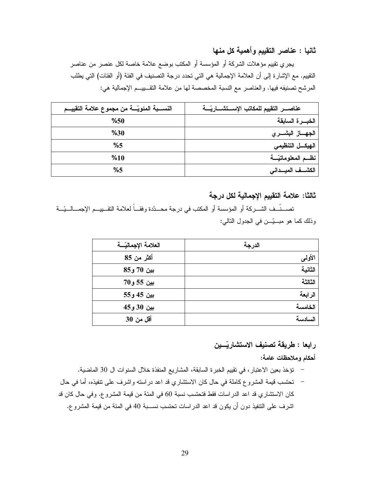ثانيا : عناصر التقييم وأهمية كل منها

يجري نقيبِم مؤهلات الشركة أو المؤسسة أو المكتب بوضع علامة خاصة لكل عنصر من عناصر النقييم. مع الإشارة إلى أن العلامة الإجمالية هي التي تحدد درجة التصنيف في الفئة (أو الفئات) التي يطلب المرشح تصنيفه فيها. والعناصر مع النسبة المخصصة لها من علامة التقـــييـــم الإجمالية هي:

| النســـبة المئويّـــة من مجموع علامة التقييـــم |                                |
|-------------------------------------------------|--------------------------------|
| %50                                             | الخبسرة السابقة                |
| %30                                             | الجهــــاز البشـــــر <i>ي</i> |
| %5                                              | الهيكـــل التنظيمي             |
| %10                                             | نظم المعلوماتيّة               |
| %5                                              | الكشـــف الميـــدانى           |

ثالثا: علامة التقييم الإجمالية لكل درجة

تصـــنّــف الشـــركة أو المؤسسة أو المكتب في درجة محــدّدة وفقـــاً لعلامة التقـــبيـــم الإجمـــالـــيّـــة وذلك كما هو مبــيّـــن في الجدول النالي:

| العلامة الإجماليّسة | الدرجة  |
|---------------------|---------|
| أكثر من 85          | الأولمي |
| بين 70 و85          | الثانية |
| بين 55 و70          | الثالثة |
| بين 45 و55          | الرابعة |
| بين 30 و45          | الخامسة |
| <b>أقل من 30</b>    | السادسة |

### رابعا : طريقة تصنيف الاستشاريّــين

أحكام وملاحظات عامة:

- تؤخذ بعين الاعتبار ، في نقييم الخبرة السابقة، المشاريع المنفذة خلال السنوات ال 30 الماضية.
- تحتسب قيمة المشروع كاملة في حال كان الاستشاري قد اعد در استه واشرف على نتفيذه، أما في حال  $\overline{\phantom{0}}$ كان الاستشاري قد اعد الدراسات فقط فتحتسب نسبة 60 في المئة من قيمة المشروع. وفي حال كان قد اشرف على النتفيذ دون أن يكون قد اعد الدراسات تحتسب نســـبة 40 في المئة من قيمة المشروع.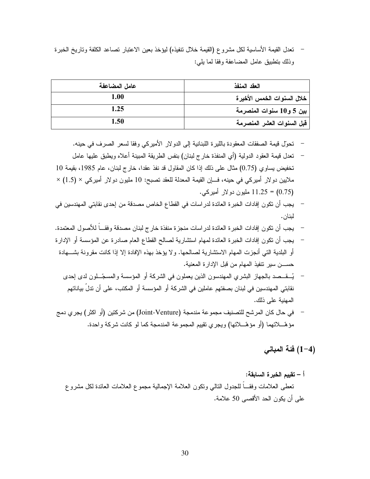تعدل القيمة الأساسية لكل مشروع (القيمة خلال نتفيذه) ليؤخذ بعين الاعتبار نصاعد الكلفة وناريخ الخبرة وذلك بتطبيق عامل المضاعفة وفقا لما يلي:

| عامل المضاعفة | العقد المنفذ               |
|---------------|----------------------------|
| 1.00          | خلال السنوات الخمس الأخيرة |
| 1.25          | بين 5 و10 سنوات المنصرمة   |
| 1.50          | قبل السنوات العشر المنصرمة |

- تحوَّل قيمة الصفقات المعقودة باللير ة اللبنانية إلى الدو لار الأمير كي وفقا لسعر الصر ف في حينه.
- تعدل قيمة العقود الدولية (أي المنفذة خارج لبنان) بنفس الطريقة المبينة أعلاه ويطبق عليها عامل تخفيض يساوي (0.75) مثال على ذلك إذا كان المقاول قد نفذ عقدا، خارج لبنان، عام 1985، بقيمة 10 ملايين دولار أميركي في حينه، فإن القيمة المعدلة للعقد تصبح: 10 مليون دولار أميركي × (1.5) × (0.75) = 11.25 مليون دو لار أمير كي.
- يجب أن تكون إفادات الخبرة العائدة لدر اسات في القطاع الخاص مصدقة من إحدى نقابتي المهندسين في لبنان.
- يجب أن تكون إفادات الخبرة العائدة لدر اسات منجزة منفذة خارج لبنان مصدقة وفقـــاً للأصول المعتمدة.
- يجب أن تكون إفادات الخبرة العائدة لمهام استشارية لصالح القطاع العام صادرة عن المؤسسة أو الإدارة أو البلدية التي أنجزت المهام الاستشارية لصالحها. ولا يؤخذ بهذه الإفادة إلا إذا كانت مقرونة بشـــهادة حســـن سير نتفيذ المـهام من قبل الإدار ة المعنية.
	- يُـــقـــصد بالجهاز البشري المهندسون الذين يعملون في الشركة أو المؤسسة والمسجّـــلون لدى إحدى نقابتي المهندسين في لبنان بصفتهم عاملين في الشركة أو المؤسسة أو المكتب، على أن تدلُّ بياناتهم المهنية على ذلك.
- في حال كان المرشح للتصنيف مجموعة مندمجة (Joint-Venture) من شركتين (أو اكثر) يجري دمج مؤهَّـــلاتهما (أو مؤهّـــلاتها) ويجرى تقييم المجموعة المندمجة كما لو كانت شركة واحدة.

(4–1) فَئَة المباني

أ – تقييم الخبر ة السابقة: تعطي العلامات وفقـــا للجدول النالبي ونكون العلامة الإجمالية مجموع العلامات العائدة لكل مشروع على أن يكون الحد الأقصبي 50 علامة.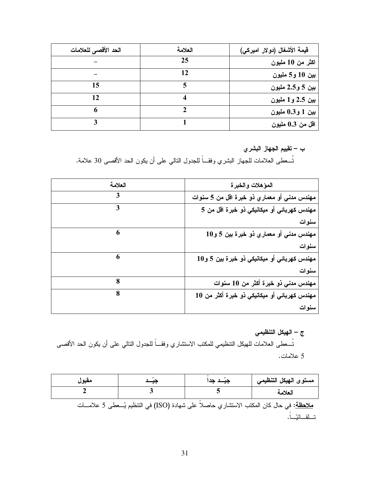| الحد الأقصى للعلامات | العلامة | قيمة الأشغال (دولار اميركي) |
|----------------------|---------|-----------------------------|
|                      | 25      | اكثر من 10 مليون            |
|                      | 12      | بين 10 و5 مليون             |
| 15                   |         | بين 5 و2.5 مليون            |
| 12                   |         | بين 2.5 و1 مليون            |
| 6                    |         | بين 1 و0.3 مليون            |
|                      |         | اقل من 0.3 مليون            |

ب – تقييم الجهاز البشري

نُســعطـى العلامات للجهاز البشري وفقـــاً للجدول النـالـي علـى أن يكون الـحد الأقصــى 30 علامـة.

| العلامة | المؤهلات والخبرة                             |
|---------|----------------------------------------------|
| 3       | مهندس مدنى أو معماري ذو خبرة اقل من 5 سنوات  |
| 3       | مهندس كهربائي أو ميكانيكي ذو خبرة اقل من 5   |
|         | سنوات                                        |
| 6       | مهندس مدني أو معماري ذو خبرة بين 5 و10       |
|         | سنوات                                        |
| 6       | مهندس کهربائی أو میکانیکی ذو خبرة بین 5 و10  |
|         | سنوات                                        |
| 8       | مهندس مدنی ذو خبرة أكثر من 10 سنوات          |
| 8       | مهندس كهربائي أو ميكانيكي ذو خبرة أكثر من 10 |
|         | سنوات                                        |

ج – الـهيكل التنظيمي

تُـــعطـى الـعلامات للـهيكل النتظيمي للمكتب الاستشاري وفقـــاً للـجدول النتالي علـى أن يكون الـحد الأقصــى 5 علامات.

| مقبول | جيَــد جد                                                                                            | مستوى الهيكل التنظيمي |
|-------|------------------------------------------------------------------------------------------------------|-----------------------|
|       |                                                                                                      | العلامة               |
|       | <u>ملاحظة</u> : في حال كان المكتب الاستشار ي حاصلاً على شهادة (ISO) في التنظيم يُـــعطى 5 علامــــات |                       |
|       |                                                                                                      |                       |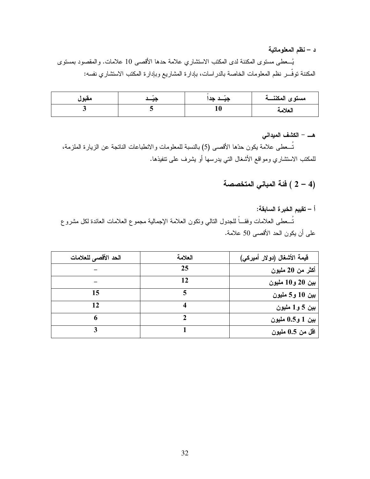د – نظم المعلوماتية

يُســعطـي مستوى المكننـة لدى المكتب الاستشاري علامـة حدها الأقصـي 10 علامات. والمقصـود بمستوى المكننة نوفَّـــــر نظم المعلومات الخاصـة بالدر اسات، بإدارة المشاريع وبإدارة المكتب الاستثماري نفسه:

| معبول | ⊸ | $- \cdot$ | مستوى المكننسة |
|-------|---|-----------|----------------|
|       |   | 10        | العلامة        |

هـــ – الكشف الميداني

تُـــعطـي علامة يكون حدّها الأقصـي (5) بالنسبة للمعلومات والانطباعات الناتجة عن الزيارة الملزمة، للمكتب الاستشاري ومواقع الأشغال التى بدرسها أو بشرف على نتفيذها.

(4 – 2 ) فَئة المبانى المتخصصة

### أ – تقييم الخبرة السابقة:

نُسعطى العلامات وفقـــاً للجدول النالي ونكون العلامة الإجمالية مجموع العلامات العائدة لكل مشروع على أن يكون الحد الأقصى 50 علامة.

| الحد الأقصى للعلامات | العلامة | فيمة الأشغال (دولار أميركي) |
|----------------------|---------|-----------------------------|
|                      | 25      | أكثر من 20 مليون            |
|                      | 12      | بين 20 و10 مليون            |
| 15                   |         | بين 10 و5 مليون             |
| 12                   |         | بين 5 و 1 مليون             |
| 6                    |         | بين 1 و0.5 مليون            |
|                      |         | اقل من 0.5 مليون            |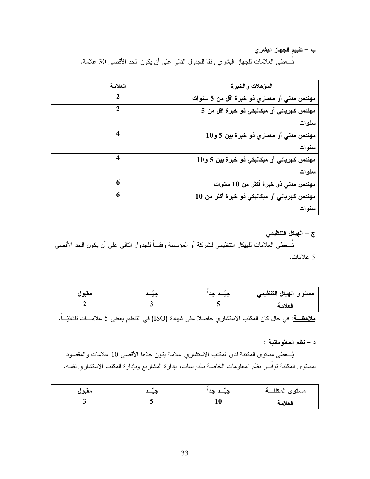#### ب – تقييم الجهاز البشري

تُسعطي العلامات للجهاز البشري وفقا للجدول النالي على أن يكون الحد الأقصى 30 علامة.

| العلامة      | المؤهلات والخبرة                              |
|--------------|-----------------------------------------------|
| $\mathbf{2}$ | مهندس مدني أو معماري ذو خبرة اقل من 5 سنوات   |
|              | مهندس كهربائي أو ميكانيكي ذو خبرة اقل من 5    |
|              | سنوات                                         |
|              | مهندس مدنى أو معماري ذو خبرة بين 5 و10        |
|              | سنوات                                         |
|              | مهندس کهربائی أو میکانیکی ذو خبر ة بین 5 و 10 |
|              | سنوات                                         |
| 6            | مهندس مدنى ذو خبرة أكثر من 10 سنوات           |
| 6            | مهندس كهربائي أو ميكانيكي ذو خبرة أكثر من 10  |
|              | سنوات                                         |

ج – الهيكل التنظيمي

نُســعطـى الـعلامات للـهيكل التنظيمـى للشركة أو المؤسسة وفقـــاً للـجدول النتالـي علـى أن يكون الـحد الأقصــى 5 علامات.

| مقبول | $\overline{\phantom{a}}$ | $\overline{f}$ | مستوى الهيكل التنظيمي |
|-------|--------------------------|----------------|-----------------------|
|       |                          |                | العلامة               |

<u>ملاحظــة</u>: في حال كان المكتب الاستشاري حاصلا على شهادة (ISO) في التنظيم يعطى 5 علامـــات نلقائيّـــاً.

د – نظم المعلوماتية :

يُسعطي مستوى المكننة لدى المكتب الاستشاري علامة بكون حدَّها الأقصى 10 علامات والمقصود بمسنوى المكننة نوفَّـــر نظم المعلومات الخاصة بالدراسات، بإدارة المشاريع وبإدارة المكتب الاستشاري نفسه.

| معبوں | $\overline{\phantom{a}}$ | $\overline{\phantom{0}}$<br>$\overline{\phantom{a}}$ | مستوى المكننسة |
|-------|--------------------------|------------------------------------------------------|----------------|
|       |                          |                                                      | العلامة        |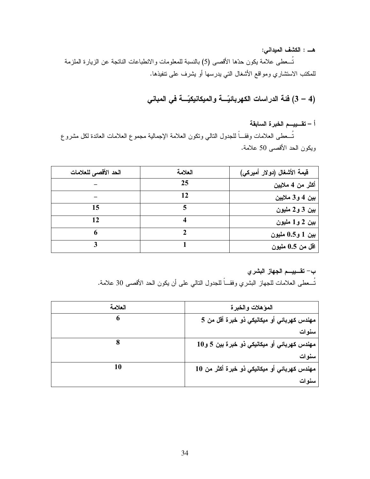هـــــ : الكشف الميداني:

تُـــعطـي علامة يكون حدّها الأقصـي (5) بالنسبة للمعلومات والانطباعات الناتجة عن الزيارة الملزمة للمكتب الاستشاري ومواقع الأشغال التي يدرسها أو يشرف على نتفيذها.

(4 – 3) فَئة الدراسات الكهربائيّــــة والميكانيكيّـــة في المباني

أ – تقـــــــــــم الـخبر ة السابقة

تُـــعطـي الـعلامات وفقـــاً للـجدول النالـي ونكون الـعلامة الإجمالية مجموع الـعلامات الـعائدة لكل مشروع ويكون الحد الأقصىي 50 علامة.

| الحد الأقصى للعلامات | العلامة | فيمة الأشغال (دولار أميركي) |
|----------------------|---------|-----------------------------|
|                      | 25      | أكثر من 4 ملايين            |
|                      | 12      | بين 4 و 3 ملايين            |
| 15                   |         | بين 3 و 2 مليون             |
| 12                   |         | بين 2 و1 مليون              |
| 6                    |         | بين 1 و0.5 مليون            |
|                      |         | اقل من 0.5 مليون            |

ب– تقـــــــــــم الجهاز البشري

نُسعطي العلامات للجهاز البشري وفقـــاً للجدول النالي على أن يكون الحد الأقصـي 30 علامة.

| العلامة | المؤهلات والخبرة                             |
|---------|----------------------------------------------|
|         | مهندس كهربائي أو ميكانيكي ذو خبرة أقل من 5   |
|         | سنوات                                        |
|         | مهندس كهربائي أو ميكانيكي ذو خبرة بين 5 و10  |
|         | سنوات                                        |
| 10      | مهندس كهربائي أو ميكانيكي ذو خبرة أكثر من 10 |
|         | سنوات                                        |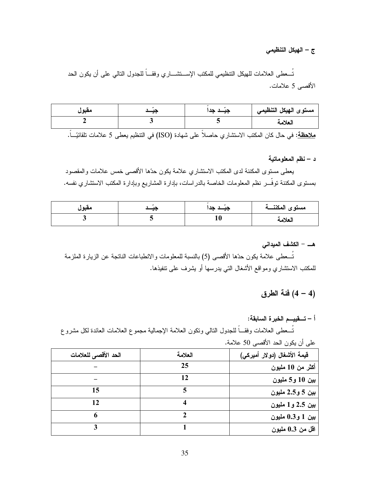#### ج – الهيكل التنظيمي

تُسعطي العلامات للهيكل التنظيمي للمكتب الإسستشساري وفقساً للجدول النالي على أن يكون الحد الأقصبي 5 علامات.

| مقبول | $\cdot$ | $\overline{\phantom{a}}$ | مستوى الهيكل التنظيمي |
|-------|---------|--------------------------|-----------------------|
|       |         |                          | العلامة               |
|       |         |                          |                       |

<mark>ملاحظة</mark>: في حال كان المكتب الاستشاري حاصلاً على شهادة (ISO) في النتظيم يعطي 5 علامات تلقائيّــاً.

د – نظم المعلوماتية

يعطي مستوى المكننة لدى المكتب الاستشاري علامة يكون حدّها الأقصبي خمس علامات والمقصود بمستوى المكننة نوفَّـــر نظم المعلومات الخاصة بالدراسات، بإدارة المشاريع وبإدارة المكتب الاستشاري نفسه.

| معبول | $\overline{\phantom{a}}$ | $-$ | مستوى المكننسة |
|-------|--------------------------|-----|----------------|
|       |                          | πu  | العلامة        |

#### هـــ – الكشف الميداني

تُسعطي علامة يكون حدِّها الأقصبي (5) بالنسبة للمعلومات و الانطباعات الناتجة عن الزيارة الملزمة للمكتب الاستشاري ومواقع الأشغال التي يدرسها أو يشرف على نتفيذها.

### (4 – 4) فَئة الطرق

## أ – تــــقييــــم الـخبر ة السـابقة:

تُسعطي العلامات وفقـــاً للجدول النالـي ونكون العلامة الإجمالية مجموع العلامات العائدة لكل مشروع

|                      |         | جي ت <del>پر</del> ن — "ءَ —جي ته —ج |
|----------------------|---------|--------------------------------------|
| الحد الأقصى للعلامات | العلامة | فيمة الأشغال (دولار أميركي)          |
|                      | 25      | أكثر من 10 مليون                     |
|                      | 12      | بين 10 و5 مليون                      |
| 15                   |         | بين 5 و2.5 مليون                     |
| 12                   |         | بين 2.5 و1 مليون                     |
| 6                    |         | بين 1 و0.3 مليون                     |
|                      |         | اقل من 0.3 مليون                     |

على أن يكون الحد الأقصى 50 علامة.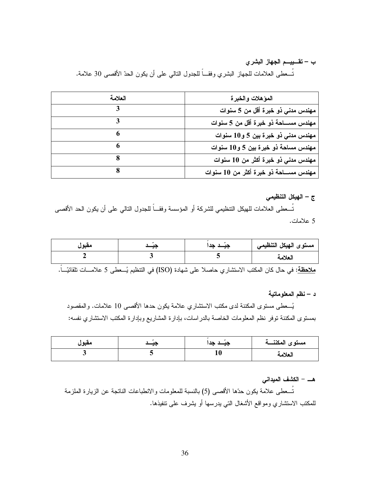ب – تقسييسم الجهاز البشرى

نُســعطـى الـعلامات للـجهاز البشري وفقـــاً للـجدول النتالـي علـى أن يكون الـحدّ الأقصـى 30 علامـة.

| العلامة | المؤهلات والخبرة                           |
|---------|--------------------------------------------|
|         | مهندس مدنى ذو خبرة أقل من 5 سنوات          |
|         | مهندس مســـاحة ذو خبرة أقل من 5 سنوات      |
|         | مهندس مدنی ذو خبرة بین 5 و10 سنوات         |
|         | مهندس مساحة ذو خبرة بين 5 و10 سنوات        |
|         | مهندس مدنى ذو خبرة أكثر من 10 سنوات        |
|         | مهندس مســــاحــة ذو خبرة أكثر من 10 سنوات |

ج – الهيكل التنظيمي

تُـــعطي العلامات للـهيكل التنظيمي للشركة أو المؤسسة وفقـــاً للجدول النالـي علـي أن يكون الـحد الأقصــي 5 علامات.

| مقبول | $\overline{\phantom{a}}$ | د حدا<br>- - | مستوى الهيكل التنظيمي |
|-------|--------------------------|--------------|-----------------------|
|       |                          |              | العلامة               |

<u>ملاحظة</u>: في حال كان المكتب الاستشار ي حاصلا على شهادة (ISO) في التنظيم يُـــعطى 5 علامـــات تلقائيّـــاً.

د – نظم المعلوماتية

يُـــعطـي مستوى المكننة لدى مكتب الاستشاري علامة يكون حدها الأقصـي 10 علامات. والمقصود بمستوى المكننة نوفر نظم المعلومات الخاصة بالدراسات، بإدارة المشاريع وبإدارة المكتب الاستشاري نفسه:

| مقبول | $\overline{\phantom{a}}$ | دد<br>$\overline{\phantom{a}}$ | مستوى المكننسة |
|-------|--------------------------|--------------------------------|----------------|
|       |                          | πv                             | العلامة        |

هـــ – الكشف الميداني

تُـــعطـي علامة يكون حدّها الأقصــي (5) بالنسبة للمعلومات والانطباعات الناتجة عن الزيارة الملزمة للمكتب الاستشاري ومواقع الأشغال التي يدرسها أو يشرف على نتفيذها.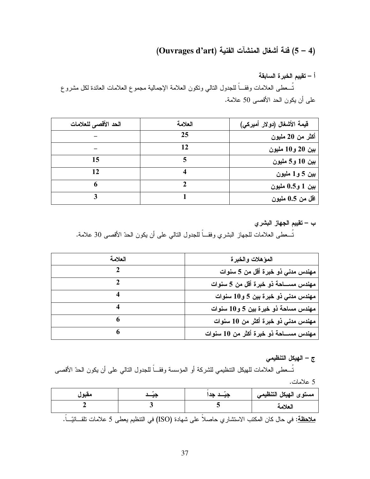## (4 – 5) فَئَةَ أَشْغَالِ المَنْشَآتِ الْفَنْيَةِ (Ouvrages d'art)

أ – تقييم الخبر ة السابقة تُـــعطـى العلامات وفقـــاً للجدول النـالـي ونكون الـعلامـة الإجماليـة مـجموع الـعلامات الـعائدة لكل مشروع على أن يكون الحد الأقصبي 50 علامة.

| الحد الأقصى للعلامات | العلامة | قيمة الأشغال (دولار أميركي) |
|----------------------|---------|-----------------------------|
|                      | 25      | أكثر من 20 مليون            |
|                      | 12      | بين 20 و10 مليون            |
| 15                   |         | بين 10 و5 مليون             |
| 12                   |         | بين 5 و 1 مليون             |
| 6                    |         | بين 1 و0.5 مليون            |
|                      |         | اقل من 0.5 مليون            |

ب – تقييم الجهاز البشر ي

نُســعطـى الـعلامات للـجـهاز البشري وفقـــاً للـجدول النتالـي علـى أن يكون الـحدّ الأقصــى 30 علامـة.

| العلامة | المؤهلات والخبرة                         |
|---------|------------------------------------------|
|         | مهندس مدني ذو خبرة أقل من 5 سنوات        |
|         | مهندس مســـاحة ذو خبرة أقل من 5 سنوات    |
|         | مهندس مدني ذو خبرة بين 5 و10 سنوات       |
|         | مهندس مساحة ذو خبرة بين 5 و10 سنوات      |
| 6       | مهندس مدنى ذو خبرة أكثر من 10 سنوات      |
| 6       | مهندس مســـاحـة ذو خبرة أكثر من 10 سنوات |

ج – الهيكل التنظيمي

تُـــعطـى العلامات للـهيكل النتظيمي للشركة أو المؤسسة وفقـــاً للجدول النالـي علـى أن يكون الـحدّ الأقصــى 5 علامات.

| مقبول |                                                                                                                  | جيَــد جدا | مستوى الهيكل التنظيمي |
|-------|------------------------------------------------------------------------------------------------------------------|------------|-----------------------|
|       |                                                                                                                  |            | العلامة               |
|       | <mark>ملاحظة</mark> : في حال كان المكتب الاستشاري حاصلا على شهادة (ISO) في التنظيم بعطي 5 علامات تلقـــائيّـــا. |            |                       |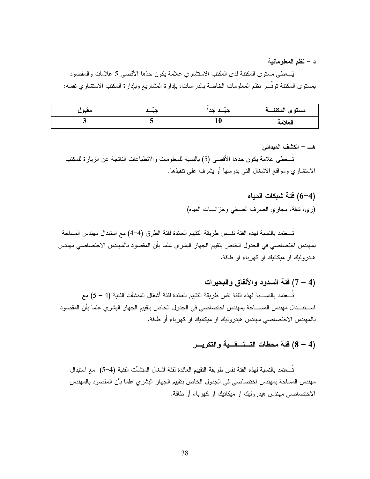د – نظم المعلوماتية

يُـــعطـي مستوى المكننة لدى المكتب الاستشاري علامة يكون حدّها الأقصـي 5 علامات والمقصود بمستوى المكننة توفُّــر نظم المعلومات الخاصة بالدر اسات، بإدارة المشاريع وبإدارة المكتب الاستشاري نفسه:

| مقبول | $\overline{\phantom{a}}$ | $\overline{\phantom{a}}$ | مستوى المكننسة |
|-------|--------------------------|--------------------------|----------------|
|       |                          | 10                       | العلامه        |

هـــ – الكشف المبداني

تــعطي علامة يكون حدّها الأقصى (5) بالنسبة للمعلومات والانطباعات الناتجة عن الزيارة للمكتب الاستشاري ومواقع الأشغال التـي يدرسها أو يشرف علـي تنفيذها.

> (4–6) فَئَة شَبكات المياه (ري، شفة، مجاري الصرف الصحّى وخزّانسات المياه)

تُـــعتمد بالنسبة لهذه الفئة نفـــس طريقة التقييم العائدة لفئة الطرق (4–4) مـع استبدال مهندس المساحة بمهندس اختصاصبي في الجدول الخاص بتقييم الجهاز البشري علما بأن المقصود بالمهندس الاختصاصبي مهندس هیدرولیك او میكانیك او كهرباء او طاقة.

(4 – 7) فَئَة السدود والأنفاق والبحيرات

تُـــعتمد بالنســــبة لـهذه الفئة نفس طريقة التقييم الـعائدة لفئة أشغال المنشآت الفنية (4 – 5) مـع اســــتبــــدال مهندس المســـــاحة بمهندس اختصــاصــي فـي الـجدول الخـلص بتقييم الـجهاز البشر ي علما بـأن المقصـود بالمهندس الاختصاصـي مـهندس هيدروليك او ميكانيك او كـهربـاء أو طـاقة.

## (4 – 8) فئة محطات التسنســــــقــــية والتكريــــر

تُـــعتمد بالنسبة لـهذه الفئة نفس طريقة التقييم العائدة لفئة أشغال المنشآت الفنية (4–5) مـع استبدال مهندس المساحة بمهندس اختصاصـي في الجدول الخاص بتقييم الجهاز البشري علما بأن المقصود بالمهندس الاختصاصـي مـهندس هيدروليك او ميكانيك او كـهربـاء أو طـاقة.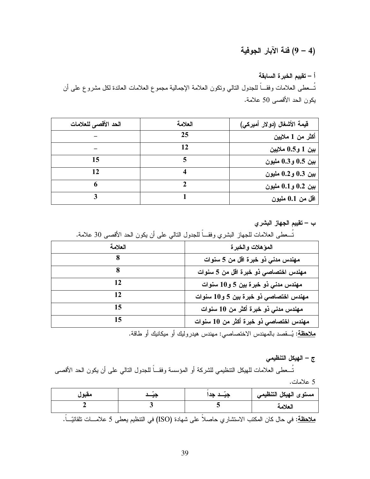### (4 – 9) فَئَة الآبار الجوفية

أ – تقييم الخبر ة السابقة تُسعطي العلامات وفقـــاً للجدول النالي ونكون العلامة الإجمالية مجموع العلامات العائدة لكل مشروع علىي أن يكون الحد الأقصبي 50 علامة.

| الحد الأقصى للعلامات | العلامة | قيمة الأشغال (دولار أميركي) |
|----------------------|---------|-----------------------------|
|                      | 25      | أكثر من 1 ملايين            |
|                      | 12      | بين 1 و0.5 ملايين           |
| 15                   |         | بين 0.5 و0.3 مليون          |
| 12                   |         | بين 0.3 و0.2 مليون          |
| 6                    |         | بين 0.2 و0.1 مليون          |
|                      |         | اقل من 0.1 مليون            |

ب – تقييم الجهاز البشري

| العلامة | المؤهلات والخبرة                       |  |
|---------|----------------------------------------|--|
|         | مهندس مدنى ذو خبرة اقل من 5 سنوات      |  |
|         | مهندس اختصاصى ذو خبرة اقل من 5 سنوات   |  |
| 12      | مهندس مدني ذو خبرة بين 5 و10 سنوات     |  |
| 12      | مهندس اختصاصي ذو خبرة بين 5 و10 سنوات  |  |
| 15      | مهندس مدني ذو خبرة أكثر من 10 سنوات    |  |
| 15      | مهندس اختصاصي ذو خبرة أكثر من 10 سنوات |  |

تُسعط ، العلامات للجهاز النشري ، فقـــاً للحدول التالي علي أن يكون الحد الأقصي ، 30 علامة.

<u>ملاحظة</u>: يُــقصد بالمهندس الاختصاصي: مهندس هيدروليك أو ميكانيك أو طاقة.

ج – الهيكل التنظيمي

تُـــعطي العلامات للهيكل التنظيمي للشركة أو المؤسسة وفقـــاً للجدول النالي على أن يكون الـحد الأقصـي 5 علامات.

| مقبول |                                                                                                                  | جیــد جد | مستوى الهيكل التنظيمي |
|-------|------------------------------------------------------------------------------------------------------------------|----------|-----------------------|
|       |                                                                                                                  |          | العلامة               |
|       | <mark>ملاحظة</mark> : في حال كان المكتب الاستشاري حاصلا على شهادة (ISO) في التنظيم يعطي 5 علامـــات تلقائيّـــا. |          |                       |